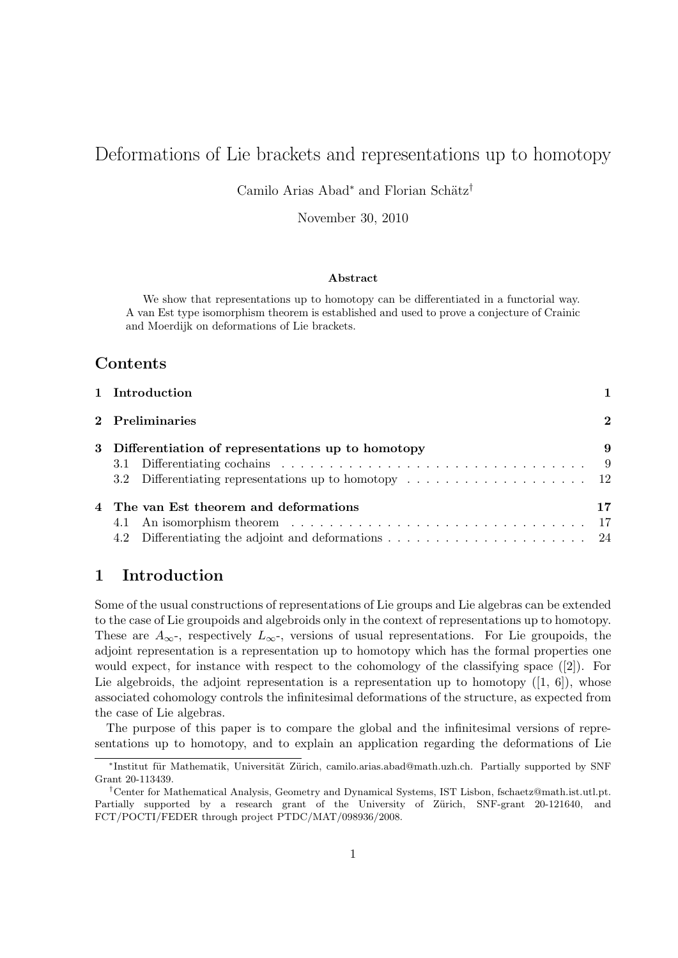# Deformations of Lie brackets and representations up to homotopy

Camilo Arias Abad<sup>∗</sup> and Florian Schätz<sup>†</sup>

November 30, 2010

#### Abstract

We show that representations up to homotopy can be differentiated in a functorial way. A van Est type isomorphism theorem is established and used to prove a conjecture of Crainic and Moerdijk on deformations of Lie brackets.

### Contents

| 1 Introduction                                                                                       |          |
|------------------------------------------------------------------------------------------------------|----------|
| 2 Preliminaries                                                                                      | $\bf{2}$ |
| 3 Differentiation of representations up to homotopy                                                  | 9        |
|                                                                                                      |          |
| 3.2 Differentiating representations up to homotopy $\dots \dots \dots \dots \dots \dots \dots \dots$ |          |
| 4 The van Est theorem and deformations                                                               |          |
| 4.1                                                                                                  |          |
|                                                                                                      |          |

# 1 Introduction

Some of the usual constructions of representations of Lie groups and Lie algebras can be extended to the case of Lie groupoids and algebroids only in the context of representations up to homotopy. These are  $A_{\infty}$ -, respectively  $L_{\infty}$ -, versions of usual representations. For Lie groupoids, the adjoint representation is a representation up to homotopy which has the formal properties one would expect, for instance with respect to the cohomology of the classifying space ([2]). For Lie algebroids, the adjoint representation is a representation up to homotopy  $([1, 6])$ , whose associated cohomology controls the infinitesimal deformations of the structure, as expected from the case of Lie algebras.

The purpose of this paper is to compare the global and the infinitesimal versions of representations up to homotopy, and to explain an application regarding the deformations of Lie

<sup>\*</sup>Institut für Mathematik, Universität Zürich, camilo.arias.abad@math.uzh.ch. Partially supported by SNF Grant 20-113439.

<sup>†</sup>Center for Mathematical Analysis, Geometry and Dynamical Systems, IST Lisbon, fschaetz@math.ist.utl.pt. Partially supported by a research grant of the University of Zürich, SNF-grant 20-121640, and FCT/POCTI/FEDER through project PTDC/MAT/098936/2008.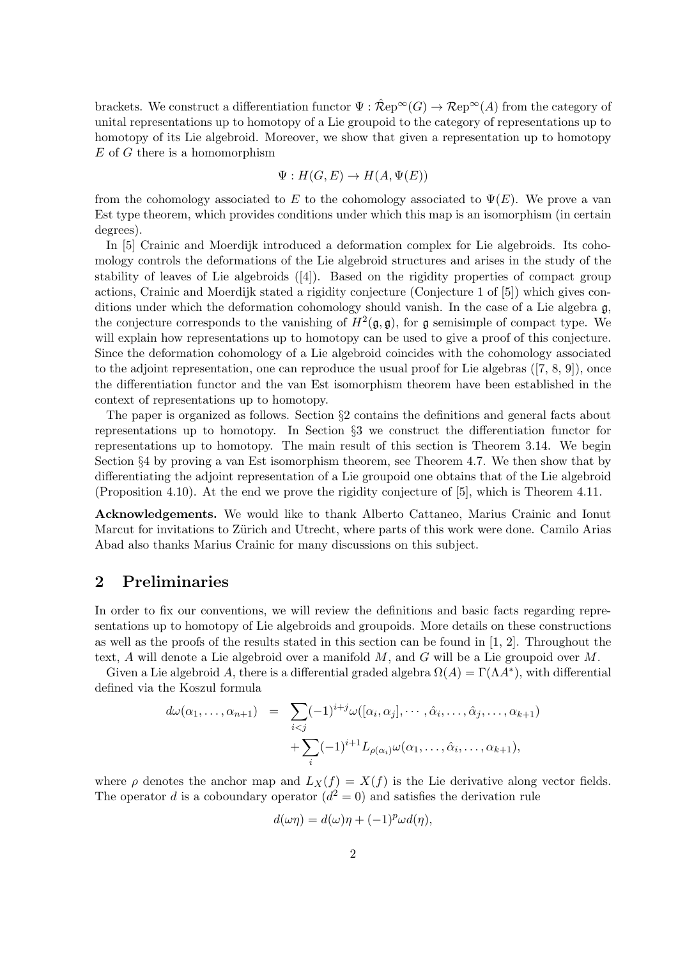brackets. We construct a differentiation functor  $\Psi : \hat{\mathcal{R}}ep^{\infty}(G) \to \mathcal{R}ep^{\infty}(A)$  from the category of unital representations up to homotopy of a Lie groupoid to the category of representations up to homotopy of its Lie algebroid. Moreover, we show that given a representation up to homotopy  $E$  of  $G$  there is a homomorphism

$$
\Psi: H(G, E) \to H(A, \Psi(E))
$$

from the cohomology associated to E to the cohomology associated to  $\Psi(E)$ . We prove a van Est type theorem, which provides conditions under which this map is an isomorphism (in certain degrees).

In [5] Crainic and Moerdijk introduced a deformation complex for Lie algebroids. Its cohomology controls the deformations of the Lie algebroid structures and arises in the study of the stability of leaves of Lie algebroids ([4]). Based on the rigidity properties of compact group actions, Crainic and Moerdijk stated a rigidity conjecture (Conjecture 1 of [5]) which gives conditions under which the deformation cohomology should vanish. In the case of a Lie algebra g, the conjecture corresponds to the vanishing of  $H^2(\mathfrak{g}, \mathfrak{g})$ , for  $\mathfrak{g}$  semisimple of compact type. We will explain how representations up to homotopy can be used to give a proof of this conjecture. Since the deformation cohomology of a Lie algebroid coincides with the cohomology associated to the adjoint representation, one can reproduce the usual proof for Lie algebras ([7, 8, 9]), once the differentiation functor and the van Est isomorphism theorem have been established in the context of representations up to homotopy.

The paper is organized as follows. Section §2 contains the definitions and general facts about representations up to homotopy. In Section §3 we construct the differentiation functor for representations up to homotopy. The main result of this section is Theorem 3.14. We begin Section §4 by proving a van Est isomorphism theorem, see Theorem 4.7. We then show that by differentiating the adjoint representation of a Lie groupoid one obtains that of the Lie algebroid (Proposition 4.10). At the end we prove the rigidity conjecture of [5], which is Theorem 4.11.

Acknowledgements. We would like to thank Alberto Cattaneo, Marius Crainic and Ionut Marcut for invitations to Zürich and Utrecht, where parts of this work were done. Camilo Arias Abad also thanks Marius Crainic for many discussions on this subject.

# 2 Preliminaries

In order to fix our conventions, we will review the definitions and basic facts regarding representations up to homotopy of Lie algebroids and groupoids. More details on these constructions as well as the proofs of the results stated in this section can be found in [1, 2]. Throughout the text, A will denote a Lie algebroid over a manifold  $M$ , and  $G$  will be a Lie groupoid over  $M$ .

Given a Lie algebroid A, there is a differential graded algebra  $\Omega(A) = \Gamma(\Lambda A^*)$ , with differential defined via the Koszul formula

$$
d\omega(\alpha_1, \ldots, \alpha_{n+1}) = \sum_{i < j} (-1)^{i+j} \omega([\alpha_i, \alpha_j], \cdots, \hat{\alpha}_i, \ldots, \hat{\alpha}_j, \ldots, \alpha_{k+1}) + \sum_i (-1)^{i+1} L_{\rho(\alpha_i)} \omega(\alpha_1, \ldots, \hat{\alpha}_i, \ldots, \alpha_{k+1}),
$$

where  $\rho$  denotes the anchor map and  $L_X(f) = X(f)$  is the Lie derivative along vector fields. The operator d is a coboundary operator  $(d^2 = 0)$  and satisfies the derivation rule

$$
d(\omega \eta) = d(\omega)\eta + (-1)^p \omega d(\eta),
$$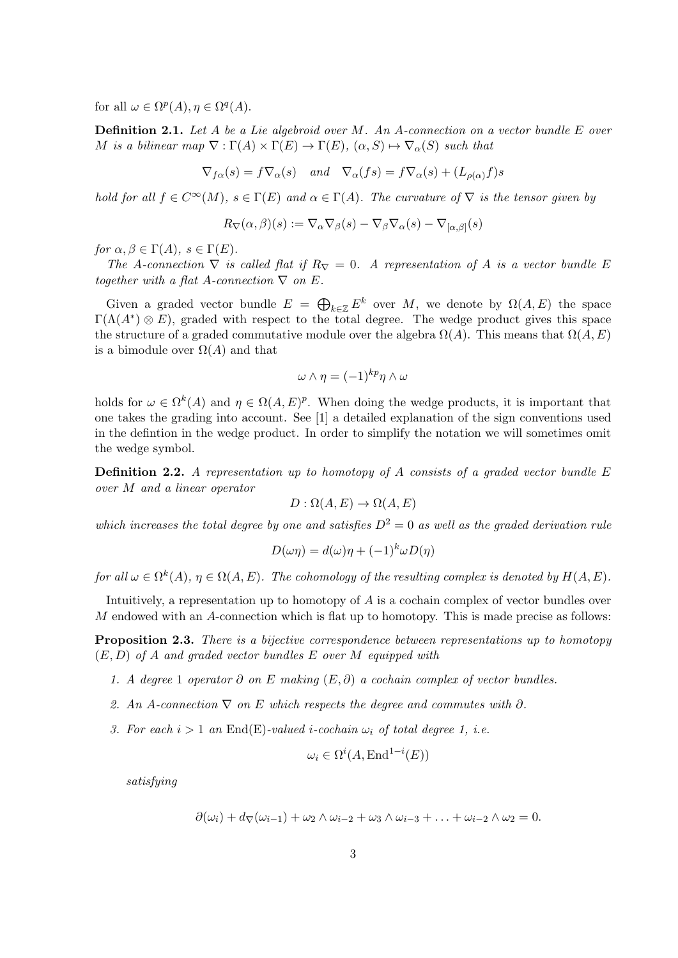for all  $\omega \in \Omega^p(A)$ ,  $\eta \in \Omega^q(A)$ .

Definition 2.1. Let A be a Lie algebroid over M. An A-connection on a vector bundle E over M is a bilinear map  $\nabla : \Gamma(A) \times \Gamma(E) \to \Gamma(E)$ ,  $(\alpha, S) \mapsto \nabla_{\alpha}(S)$  such that

$$
\nabla_{f\alpha}(s) = f \nabla_{\alpha}(s) \quad and \quad \nabla_{\alpha}(fs) = f \nabla_{\alpha}(s) + (L_{\rho(\alpha)}f)s
$$

hold for all  $f \in C^{\infty}(M)$ ,  $s \in \Gamma(E)$  and  $\alpha \in \Gamma(A)$ . The curvature of  $\nabla$  is the tensor given by

$$
R_{\nabla}(\alpha,\beta)(s) := \nabla_{\alpha}\nabla_{\beta}(s) - \nabla_{\beta}\nabla_{\alpha}(s) - \nabla_{[\alpha,\beta]}(s)
$$

for  $\alpha, \beta \in \Gamma(A)$ ,  $s \in \Gamma(E)$ .

The A-connection  $\nabla$  is called flat if  $R_{\nabla} = 0$ . A representation of A is a vector bundle E together with a flat A-connection  $\nabla$  on E.

Given a graded vector bundle  $E = \bigoplus_{k \in \mathbb{Z}} E^k$  over M, we denote by  $\Omega(A, E)$  the space  $\Gamma(\Lambda(A^*)\otimes E)$ , graded with respect to the total degree. The wedge product gives this space the structure of a graded commutative module over the algebra  $\Omega(A)$ . This means that  $\Omega(A, E)$ is a bimodule over  $\Omega(A)$  and that

$$
\omega \wedge \eta = (-1)^{kp} \eta \wedge \omega
$$

holds for  $\omega \in \Omega^k(A)$  and  $\eta \in \Omega(A, E)^p$ . When doing the wedge products, it is important that one takes the grading into account. See [1] a detailed explanation of the sign conventions used in the defintion in the wedge product. In order to simplify the notation we will sometimes omit the wedge symbol.

**Definition 2.2.** A representation up to homotopy of A consists of a graded vector bundle  $E$ over M and a linear operator

$$
D: \Omega(A, E) \to \Omega(A, E)
$$

which increases the total degree by one and satisfies  $D^2 = 0$  as well as the graded derivation rule

$$
D(\omega \eta) = d(\omega)\eta + (-1)^{k} \omega D(\eta)
$$

for all  $\omega \in \Omega^k(A)$ ,  $\eta \in \Omega(A, E)$ . The cohomology of the resulting complex is denoted by  $H(A, E)$ .

Intuitively, a representation up to homotopy of A is a cochain complex of vector bundles over  $M$  endowed with an  $A$ -connection which is flat up to homotopy. This is made precise as follows:

**Proposition 2.3.** There is a bijective correspondence between representations up to homotopy  $(E, D)$  of A and graded vector bundles E over M equipped with

- 1. A degree 1 operator ∂ on E making  $(E, \partial)$  a cochain complex of vector bundles.
- 2. An A-connection  $\nabla$  on E which respects the degree and commutes with  $\partial$ .
- 3. For each  $i > 1$  an End(E)-valued *i*-cochain  $\omega_i$  of total degree 1, *i.e.*

$$
\omega_i \in \Omega^i(A, \text{End}^{1-i}(E))
$$

satisfying

$$
\partial(\omega_i) + d_{\nabla}(\omega_{i-1}) + \omega_2 \wedge \omega_{i-2} + \omega_3 \wedge \omega_{i-3} + \ldots + \omega_{i-2} \wedge \omega_2 = 0.
$$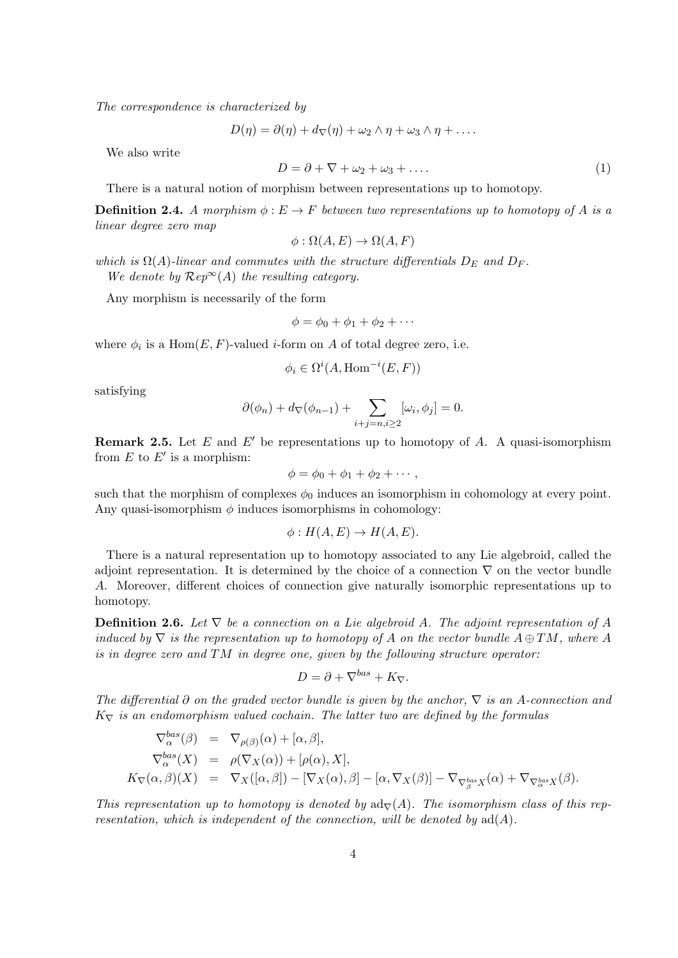The correspondence is characterized by

$$
D(\eta) = \partial(\eta) + d_{\nabla}(\eta) + \omega_2 \wedge \eta + \omega_3 \wedge \eta + \dots
$$

We also write

$$
D = \partial + \nabla + \omega_2 + \omega_3 + \dots \tag{1}
$$

There is a natural notion of morphism between representations up to homotopy.

**Definition 2.4.** A morphism  $\phi: E \to F$  between two representations up to homotopy of A is a linear degree zero map

$$
\phi : \Omega(A, E) \to \Omega(A, F)
$$

which is  $\Omega(A)$ -linear and commutes with the structure differentials  $D_E$  and  $D_F$ . We denote by  $\mathcal{R}ep^{\infty}(A)$  the resulting category.

Any morphism is necessarily of the form

$$
\phi = \phi_0 + \phi_1 + \phi_2 + \cdots
$$

where  $\phi_i$  is a Hom $(E, F)$ -valued *i*-form on A of total degree zero, i.e.

$$
\phi_i \in \Omega^i(A, \text{Hom}^{-i}(E, F))
$$

satisfying

$$
\partial(\phi_n) + d_{\nabla}(\phi_{n-1}) + \sum_{i+j=n, i \geq 2} [\omega_i, \phi_j] = 0.
$$

**Remark 2.5.** Let E and E' be representations up to homotopy of A. A quasi-isomorphism from  $E$  to  $E'$  is a morphism:

$$
\phi = \phi_0 + \phi_1 + \phi_2 + \cdots,
$$

such that the morphism of complexes  $\phi_0$  induces an isomorphism in cohomology at every point. Any quasi-isomorphism  $\phi$  induces isomorphisms in cohomology:

$$
\phi: H(A, E) \to H(A, E).
$$

There is a natural representation up to homotopy associated to any Lie algebroid, called the adjoint representation. It is determined by the choice of a connection  $\nabla$  on the vector bundle A. Moreover, different choices of connection give naturally isomorphic representations up to homotopy.

**Definition 2.6.** Let  $\nabla$  be a connection on a Lie algebroid A. The adjoint representation of A induced by  $\nabla$  is the representation up to homotopy of A on the vector bundle  $A \oplus TM$ , where A is in degree zero and  $TM$  in degree one, given by the following structure operator:

$$
D = \partial + \nabla^{bas} + K_{\nabla}.
$$

The differential  $\partial$  on the graded vector bundle is given by the anchor,  $\nabla$  is an A-connection and  $K_{\nabla}$  is an endomorphism valued cochain. The latter two are defined by the formulas

$$
\nabla_{\alpha}^{bas}(\beta) = \nabla_{\rho(\beta)}(\alpha) + [\alpha, \beta],
$$
\n
$$
\nabla_{\alpha}^{bas}(X) = \rho(\nabla_X(\alpha)) + [\rho(\alpha), X],
$$
\n
$$
K_{\nabla}(\alpha, \beta)(X) = \nabla_X([\alpha, \beta]) - [\nabla_X(\alpha), \beta] - [\alpha, \nabla_X(\beta)] - \nabla_{\nabla_{\beta}^{bas}X}(\alpha) + \nabla_{\nabla_{\alpha}^{bas}X}(\beta).
$$

This representation up to homotopy is denoted by  $ad<sub>∇</sub>(A)$ . The isomorphism class of this representation, which is independent of the connection, will be denoted by  $ad(A)$ .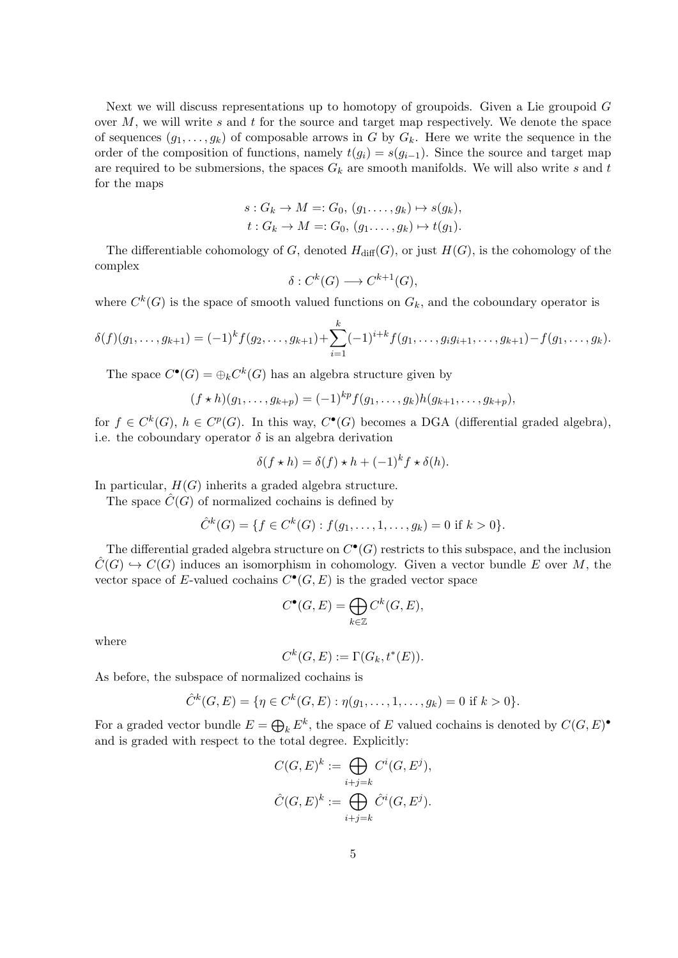Next we will discuss representations up to homotopy of groupoids. Given a Lie groupoid G over  $M$ , we will write s and t for the source and target map respectively. We denote the space of sequences  $(g_1, \ldots, g_k)$  of composable arrows in G by  $G_k$ . Here we write the sequence in the order of the composition of functions, namely  $t(g_i) = s(g_{i-1})$ . Since the source and target map are required to be submersions, the spaces  $G_k$  are smooth manifolds. We will also write s and t for the maps

$$
s: G_k \to M =: G_0, (g_1, \ldots, g_k) \mapsto s(g_k),
$$
  

$$
t: G_k \to M =: G_0, (g_1, \ldots, g_k) \mapsto t(g_1).
$$

The differentiable cohomology of G, denoted  $H_{\text{diff}}(G)$ , or just  $H(G)$ , is the cohomology of the complex

$$
\delta: C^k(G) \longrightarrow C^{k+1}(G),
$$

where  $C^k(G)$  is the space of smooth valued functions on  $G_k$ , and the coboundary operator is

$$
\delta(f)(g_1,\ldots,g_{k+1})=(-1)^k f(g_2,\ldots,g_{k+1})+\sum_{i=1}^k (-1)^{i+k} f(g_1,\ldots,g_i g_{i+1},\ldots,g_{k+1})-f(g_1,\ldots,g_k).
$$

The space  $C^{\bullet}(G) = \bigoplus_k C^k(G)$  has an algebra structure given by

$$
(f * h)(g_1, \ldots, g_{k+p}) = (-1)^{kp} f(g_1, \ldots, g_k) h(g_{k+1}, \ldots, g_{k+p}),
$$

for  $f \in C^{k}(G)$ ,  $h \in C^{p}(G)$ . In this way,  $C^{\bullet}(G)$  becomes a DGA (differential graded algebra), i.e. the coboundary operator  $\delta$  is an algebra derivation

$$
\delta(f \star h) = \delta(f) \star h + (-1)^k f \star \delta(h).
$$

In particular,  $H(G)$  inherits a graded algebra structure.

The space  $C(G)$  of normalized cochains is defined by

$$
\hat{C}^k(G) = \{ f \in C^k(G) : f(g_1, \dots, 1, \dots, g_k) = 0 \text{ if } k > 0 \}.
$$

The differential graded algebra structure on  $C^{\bullet}(G)$  restricts to this subspace, and the inclusion  $\ddot{C}(G) \hookrightarrow C(G)$  induces an isomorphism in cohomology. Given a vector bundle E over M, the vector space of E-valued cochains  $C^{\bullet}(G, E)$  is the graded vector space

$$
C^{\bullet}(G,E) = \bigoplus_{k \in \mathbb{Z}} C^k(G,E),
$$

where

$$
C^k(G, E) := \Gamma(G_k, t^*(E)).
$$

As before, the subspace of normalized cochains is

$$
\hat{C}^k(G, E) = \{ \eta \in C^k(G, E) : \eta(g_1, \dots, 1, \dots, g_k) = 0 \text{ if } k > 0 \}.
$$

For a graded vector bundle  $E = \bigoplus_k E^k$ , the space of E valued cochains is denoted by  $C(G, E)^{\bullet}$ and is graded with respect to the total degree. Explicitly:

$$
C(G, E)^{k} := \bigoplus_{i+j=k} C^{i}(G, E^{j}),
$$
  

$$
\hat{C}(G, E)^{k} := \bigoplus_{i+j=k} \hat{C}^{i}(G, E^{j}).
$$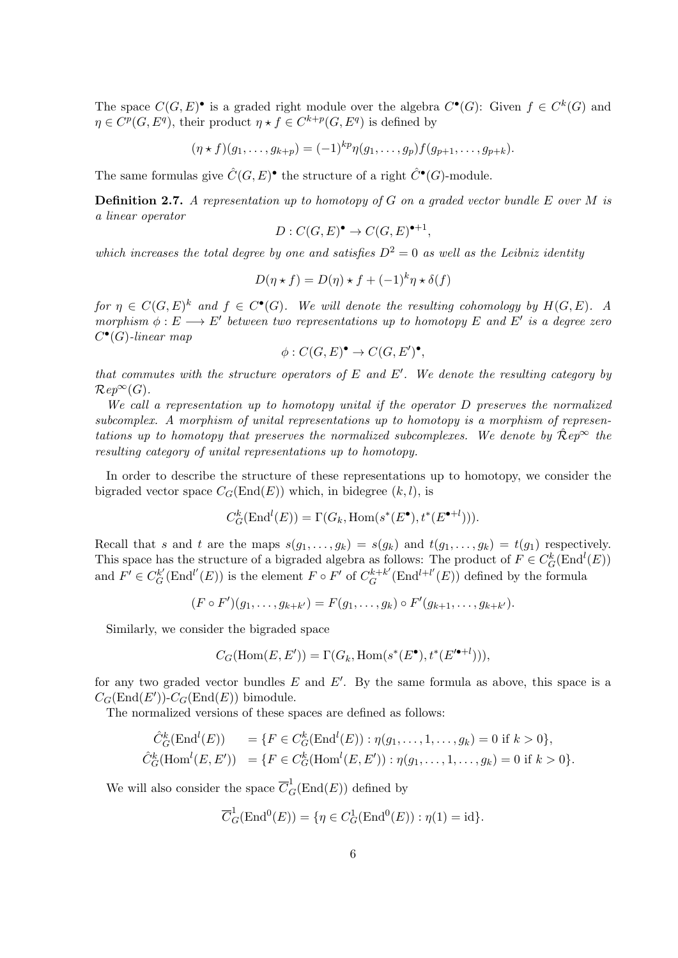The space  $C(G, E)$  is a graded right module over the algebra  $C^{\bullet}(G)$ : Given  $f \in C^{k}(G)$  and  $\eta \in C^p(G, E^q)$ , their product  $\eta * f \in C^{k+p}(G, E^q)$  is defined by

$$
(\eta * f)(g_1, \ldots, g_{k+p}) = (-1)^{kp} \eta(g_1, \ldots, g_p) f(g_{p+1}, \ldots, g_{p+k}).
$$

The same formulas give  $\hat{C}(G, E)^{\bullet}$  the structure of a right  $\hat{C}^{\bullet}(G)$ -module.

**Definition 2.7.** A representation up to homotopy of G on a graded vector bundle E over M is a linear operator

$$
D: C(G, E)^{\bullet} \to C(G, E)^{\bullet+1},
$$

which increases the total degree by one and satisfies  $D^2 = 0$  as well as the Leibniz identity

$$
D(\eta * f) = D(\eta) * f + (-1)^{k} \eta * \delta(f)
$$

for  $\eta \in C(G, E)^k$  and  $f \in C^{\bullet}(G)$ . We will denote the resulting cohomology by  $H(G, E)$ . A morphism  $\phi : E \longrightarrow E'$  between two representations up to homotopy E and E' is a degree zero  $C^{\bullet}(G)$ -linear map

$$
\phi: C(G, E)^{\bullet} \to C(G, E')^{\bullet},
$$

that commutes with the structure operators of  $E$  and  $E'$ . We denote the resulting category by  $\mathcal{R}ep^{\infty}(G)$ .

We call a representation up to homotopy unital if the operator D preserves the normalized subcomplex. A morphism of unital representations up to homotopy is a morphism of representations up to homotopy that preserves the normalized subcomplexes. We denote by  $\mathcal{R}ep^{\infty}$  the resulting category of unital representations up to homotopy.

In order to describe the structure of these representations up to homotopy, we consider the bigraded vector space  $C_G(\text{End}(E))$  which, in bidegree  $(k, l)$ , is

$$
C_G^k(\text{End}^l(E)) = \Gamma(G_k, \text{Hom}(s^*(E^{\bullet}), t^*(E^{\bullet+l}))).
$$

Recall that s and t are the maps  $s(g_1, \ldots, g_k) = s(g_k)$  and  $t(g_1, \ldots, g_k) = t(g_1)$  respectively. This space has the structure of a bigraded algebra as follows: The product of  $F \in C_G^k(\text{End}^l(E))$ and  $F' \in C_G^{k'}(\text{End}^{l'}(E))$  is the element  $F \circ F'$  of  $C_G^{k+k'}$  $G^{k+k'}(\text{End}^{l+l'}(E))$  defined by the formula

$$
(F \circ F')(g_1, \ldots, g_{k+k'}) = F(g_1, \ldots, g_k) \circ F'(g_{k+1}, \ldots, g_{k+k'}).
$$

Similarly, we consider the bigraded space

$$
C_G(\mathrm{Hom}(E, E')) = \Gamma(G_k, \mathrm{Hom}(s^*(E^{\bullet}), t^*(E'^{\bullet+l}))),
$$

for any two graded vector bundles  $E$  and  $E'$ . By the same formula as above, this space is a  $C_G(\text{End}(E'))$ - $C_G(\text{End}(E))$  bimodule.

The normalized versions of these spaces are defined as follows:

$$
\hat{C}_G^k(\text{End}^l(E)) = \{ F \in C_G^k(\text{End}^l(E)) : \eta(g_1, \dots, 1, \dots, g_k) = 0 \text{ if } k > 0 \},
$$
  

$$
\hat{C}_G^k(\text{Hom}^l(E, E')) = \{ F \in C_G^k(\text{Hom}^l(E, E')) : \eta(g_1, \dots, 1, \dots, g_k) = 0 \text{ if } k > 0 \}.
$$

We will also consider the space  $\overline{C}_G^1(\text{End}(E))$  defined by

$$
\overline{C}_G^1(\text{End}^0(E)) = \{ \eta \in C_G^1(\text{End}^0(E)) : \eta(1) = id \}.
$$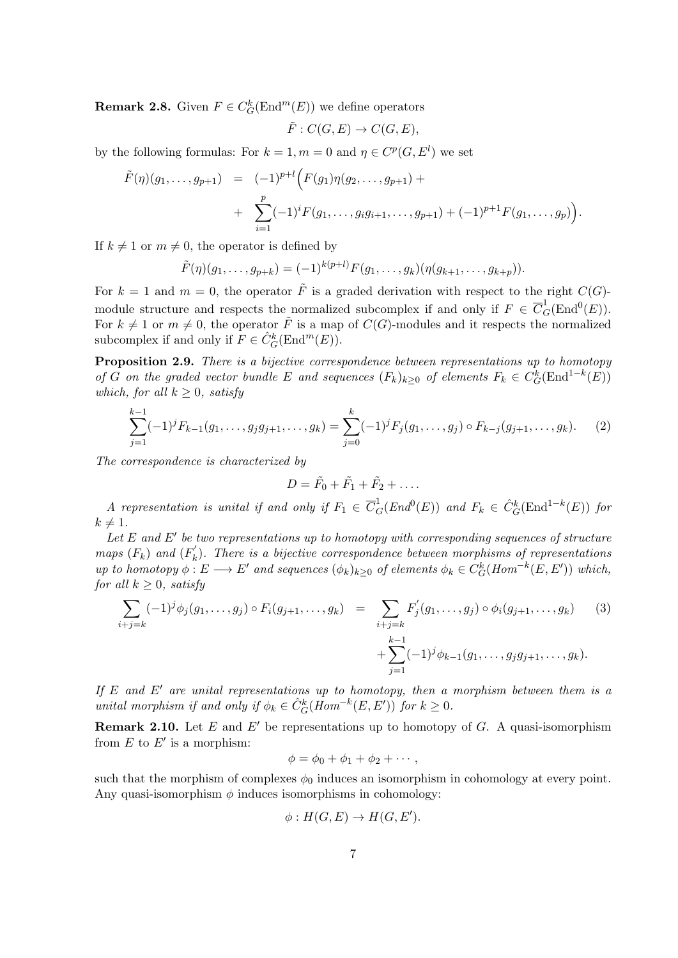**Remark 2.8.** Given  $F \in C_G^k(\text{End}^m(E))$  we define operators

$$
\tilde{F}: C(G, E) \to C(G, E),
$$

by the following formulas: For  $k = 1, m = 0$  and  $\eta \in C^p(G, E^l)$  we set

$$
\tilde{F}(\eta)(g_1,\ldots,g_{p+1}) = (-1)^{p+l} \Big( F(g_1)\eta(g_2,\ldots,g_{p+1}) + \n+ \sum_{i=1}^p (-1)^i F(g_1,\ldots,g_i g_{i+1},\ldots,g_{p+1}) + (-1)^{p+1} F(g_1,\ldots,g_p) \Big).
$$

If  $k \neq 1$  or  $m \neq 0$ , the operator is defined by

$$
\tilde{F}(\eta)(g_1,\ldots,g_{p+k}) = (-1)^{k(p+l)} F(g_1,\ldots,g_k)(\eta(g_{k+1},\ldots,g_{k+p})).
$$

For  $k = 1$  and  $m = 0$ , the operator  $\tilde{F}$  is a graded derivation with respect to the right  $C(G)$ module structure and respects the normalized subcomplex if and only if  $F \in \overline{C}_G^1(\text{End}^0(E))$ . For  $k \neq 1$  or  $m \neq 0$ , the operator  $\tilde{F}$  is a map of  $C(G)$ -modules and it respects the normalized subcomplex if and only if  $F \in \hat{C}_G^k(\text{End}^m(E)).$ 

Proposition 2.9. There is a bijective correspondence between representations up to homotopy of G on the graded vector bundle E and sequences  $(F_k)_{k\geq 0}$  of elements  $F_k \in C_G^k(\text{End}^{1-k}(E))$ which, for all  $k > 0$ , satisfy

$$
\sum_{j=1}^{k-1} (-1)^j F_{k-1}(g_1, \dots, g_j g_{j+1}, \dots, g_k) = \sum_{j=0}^k (-1)^j F_j(g_1, \dots, g_j) \circ F_{k-j}(g_{j+1}, \dots, g_k). \tag{2}
$$

The correspondence is characterized by

$$
D=\tilde{F}_0+\tilde{F}_1+\tilde{F}_2+\ldots.
$$

A representation is unital if and only if  $F_1 \in \overline{C}_G^1(End^0(E))$  and  $F_k \in \hat{C}_G^k(\text{End}^{1-k}(E))$  for  $k \neq 1$ .

Let  $E$  and  $E'$  be two representations up to homotopy with corresponding sequences of structure maps  $(F_k)$  and  $(F'_k)$  $\mathbf{F}_k'$ ). There is a bijective correspondence between morphisms of representations up to homotopy  $\phi: E \longrightarrow E'$  and sequences  $(\phi_k)_{k \geq 0}$  of elements  $\phi_k \in C_G^k(Hom^{-k}(E, E'))$  which, for all  $k \geq 0$ , satisfy

$$
\sum_{i+j=k} (-1)^{j} \phi_{j}(g_{1}, \ldots, g_{j}) \circ F_{i}(g_{j+1}, \ldots, g_{k}) = \sum_{i+j=k} F'_{j}(g_{1}, \ldots, g_{j}) \circ \phi_{i}(g_{j+1}, \ldots, g_{k}) \qquad (3)
$$

$$
+ \sum_{j=1}^{k-1} (-1)^{j} \phi_{k-1}(g_{1}, \ldots, g_{j}g_{j+1}, \ldots, g_{k}).
$$

If E and E' are unital representations up to homotopy, then a morphism between them is a unital morphism if and only if  $\phi_k \in \hat{C}_G^k(\text{Hom}^{-k}(E, E'))$  for  $k \geq 0$ .

**Remark 2.10.** Let E and E' be representations up to homotopy of G. A quasi-isomorphism from  $E$  to  $E'$  is a morphism:

$$
\phi = \phi_0 + \phi_1 + \phi_2 + \cdots,
$$

such that the morphism of complexes  $\phi_0$  induces an isomorphism in cohomology at every point. Any quasi-isomorphism  $\phi$  induces isomorphisms in cohomology:

$$
\phi: H(G, E) \to H(G, E').
$$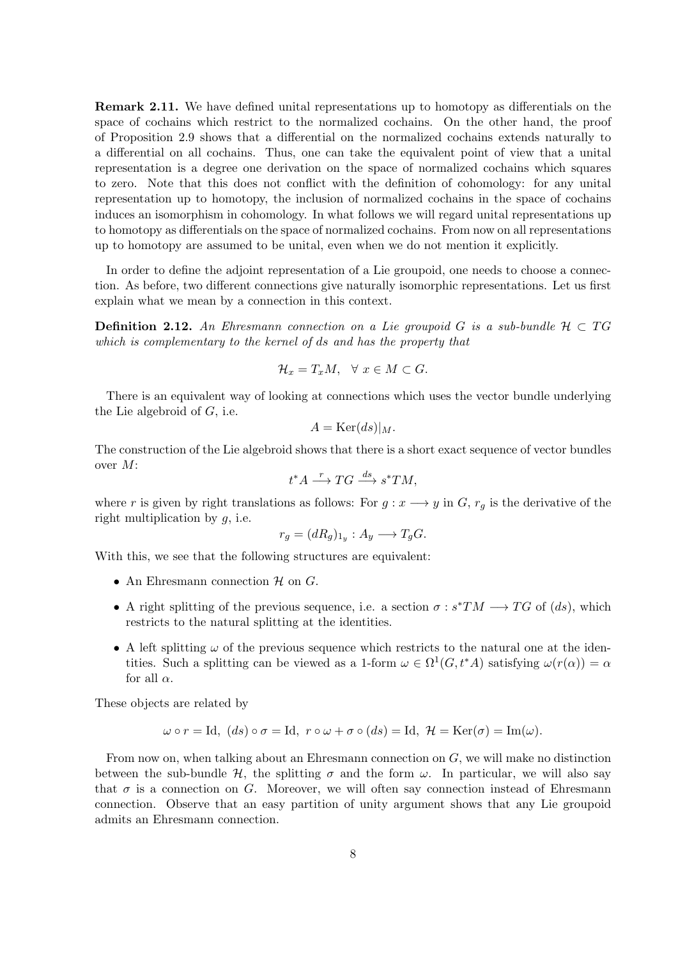Remark 2.11. We have defined unital representations up to homotopy as differentials on the space of cochains which restrict to the normalized cochains. On the other hand, the proof of Proposition 2.9 shows that a differential on the normalized cochains extends naturally to a differential on all cochains. Thus, one can take the equivalent point of view that a unital representation is a degree one derivation on the space of normalized cochains which squares to zero. Note that this does not conflict with the definition of cohomology: for any unital representation up to homotopy, the inclusion of normalized cochains in the space of cochains induces an isomorphism in cohomology. In what follows we will regard unital representations up to homotopy as differentials on the space of normalized cochains. From now on all representations up to homotopy are assumed to be unital, even when we do not mention it explicitly.

In order to define the adjoint representation of a Lie groupoid, one needs to choose a connection. As before, two different connections give naturally isomorphic representations. Let us first explain what we mean by a connection in this context.

**Definition 2.12.** An Ehresmann connection on a Lie groupoid G is a sub-bundle  $H \subset TG$ which is complementary to the kernel of ds and has the property that

$$
\mathcal{H}_x = T_x M, \quad \forall \ x \in M \subset G.
$$

There is an equivalent way of looking at connections which uses the vector bundle underlying the Lie algebroid of  $G$ , i.e.

$$
A = \text{Ker}(ds)|_M.
$$

The construction of the Lie algebroid shows that there is a short exact sequence of vector bundles over M:

$$
t^*A \xrightarrow{r} TG \xrightarrow{ds} s^*TM,
$$

where r is given by right translations as follows: For  $g: x \longrightarrow y$  in  $G, r_g$  is the derivative of the right multiplication by  $q$ , i.e.

$$
r_g = (dR_g)_{1_y} : A_y \longrightarrow T_g G.
$$

With this, we see that the following structures are equivalent:

- An Ehresmann connection  $\mathcal H$  on  $G$ .
- A right splitting of the previous sequence, i.e. a section  $\sigma : s^*TM \longrightarrow TG$  of  $(ds)$ , which restricts to the natural splitting at the identities.
- A left splitting  $\omega$  of the previous sequence which restricts to the natural one at the identities. Such a splitting can be viewed as a 1-form  $\omega \in \Omega^1(G, t^*A)$  satisfying  $\omega(r(\alpha)) = \alpha$ for all  $\alpha$ .

These objects are related by

$$
\omega \circ r = \text{Id}, (ds) \circ \sigma = \text{Id}, r \circ \omega + \sigma \circ (ds) = \text{Id}, \mathcal{H} = \text{Ker}(\sigma) = \text{Im}(\omega).
$$

From now on, when talking about an Ehresmann connection on G, we will make no distinction between the sub-bundle H, the splitting  $\sigma$  and the form  $\omega$ . In particular, we will also say that  $\sigma$  is a connection on G. Moreover, we will often say connection instead of Ehresmann connection. Observe that an easy partition of unity argument shows that any Lie groupoid admits an Ehresmann connection.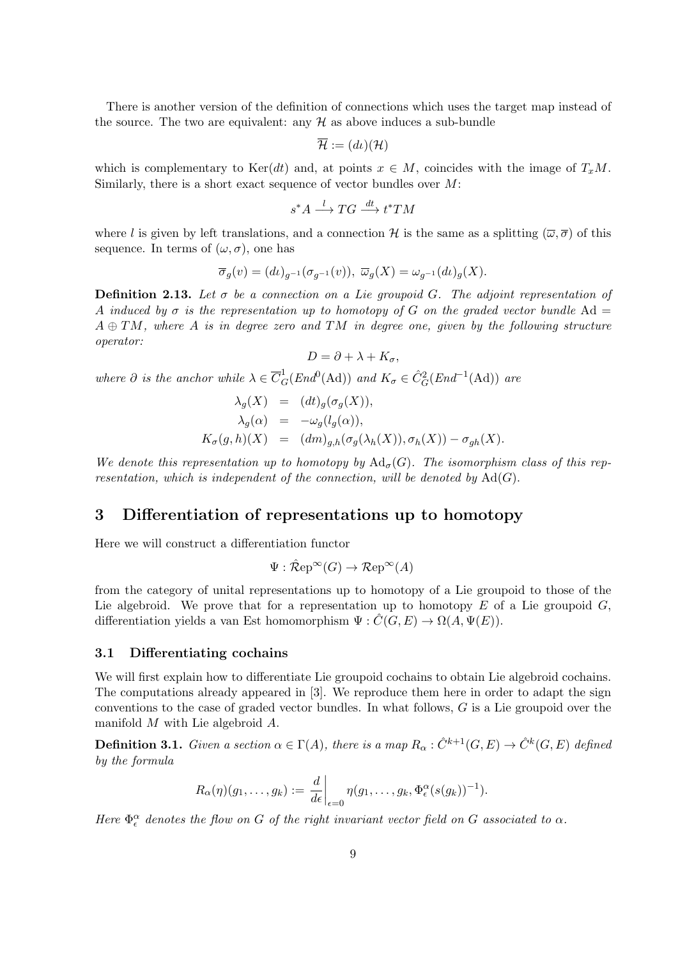There is another version of the definition of connections which uses the target map instead of the source. The two are equivalent: any  $H$  as above induces a sub-bundle

$$
\overline{\mathcal{H}}:=(d\iota)(\mathcal{H})
$$

which is complementary to Ker(dt) and, at points  $x \in M$ , coincides with the image of  $T_xM$ . Similarly, there is a short exact sequence of vector bundles over  $M$ :

$$
s^*A \xrightarrow{l} TG \xrightarrow{dt} t^*TM
$$

where l is given by left translations, and a connection H is the same as a splitting  $(\overline{\omega}, \overline{\sigma})$  of this sequence. In terms of  $(\omega, \sigma)$ , one has

$$
\overline{\sigma}_g(v) = (d\iota)_{g^{-1}}(\sigma_{g^{-1}}(v)), \ \overline{\omega}_g(X) = \omega_{g^{-1}}(d\iota)_g(X).
$$

**Definition 2.13.** Let  $\sigma$  be a connection on a Lie groupoid G. The adjoint representation of A induced by  $\sigma$  is the representation up to homotopy of G on the graded vector bundle Ad =  $A \oplus TM$ , where A is in degree zero and TM in degree one, given by the following structure operator:

$$
D=\partial+\lambda+K_{\sigma},
$$

where  $\partial$  is the anchor while  $\lambda \in \overline{C}_G^1(End^0(\mathrm{Ad}))$  and  $K_{\sigma} \in \hat{C}_G^2(End^{-1}(\mathrm{Ad}))$  are

$$
\lambda_g(X) = (dt)_g(\sigma_g(X)),
$$
  
\n
$$
\lambda_g(\alpha) = -\omega_g(l_g(\alpha)),
$$
  
\n
$$
K_{\sigma}(g, h)(X) = (dm)_{g,h}(\sigma_g(\lambda_h(X)), \sigma_h(X)) - \sigma_{gh}(X).
$$

We denote this representation up to homotopy by  $\text{Ad}_{\sigma}(G)$ . The isomorphism class of this representation, which is independent of the connection, will be denoted by  $Ad(G)$ .

### 3 Differentiation of representations up to homotopy

Here we will construct a differentiation functor

$$
\Psi : \hat{\mathcal{R}}ep^{\infty}(G) \to \mathcal{R}ep^{\infty}(A)
$$

from the category of unital representations up to homotopy of a Lie groupoid to those of the Lie algebroid. We prove that for a representation up to homotopy  $E$  of a Lie groupoid  $G$ , differentiation yields a van Est homomorphism  $\Psi : \hat{C}(G, E) \to \Omega(A, \Psi(E)).$ 

#### 3.1 Differentiating cochains

We will first explain how to differentiate Lie groupoid cochains to obtain Lie algebroid cochains. The computations already appeared in [3]. We reproduce them here in order to adapt the sign conventions to the case of graded vector bundles. In what follows, G is a Lie groupoid over the manifold M with Lie algebroid A.

**Definition 3.1.** Given a section  $\alpha \in \Gamma(A)$ , there is a map  $R_\alpha : \hat{C}^{k+1}(G,E) \to \hat{C}^k(G,E)$  defined by the formula

$$
R_{\alpha}(\eta)(g_1,\ldots,g_k):=\left.\frac{d}{d\epsilon}\right|_{\epsilon=0}\eta(g_1,\ldots,g_k,\Phi_{\epsilon}^{\alpha}(s(g_k))^{-1}).
$$

Here  $\Phi_{\epsilon}^{\alpha}$  denotes the flow on G of the right invariant vector field on G associated to  $\alpha$ .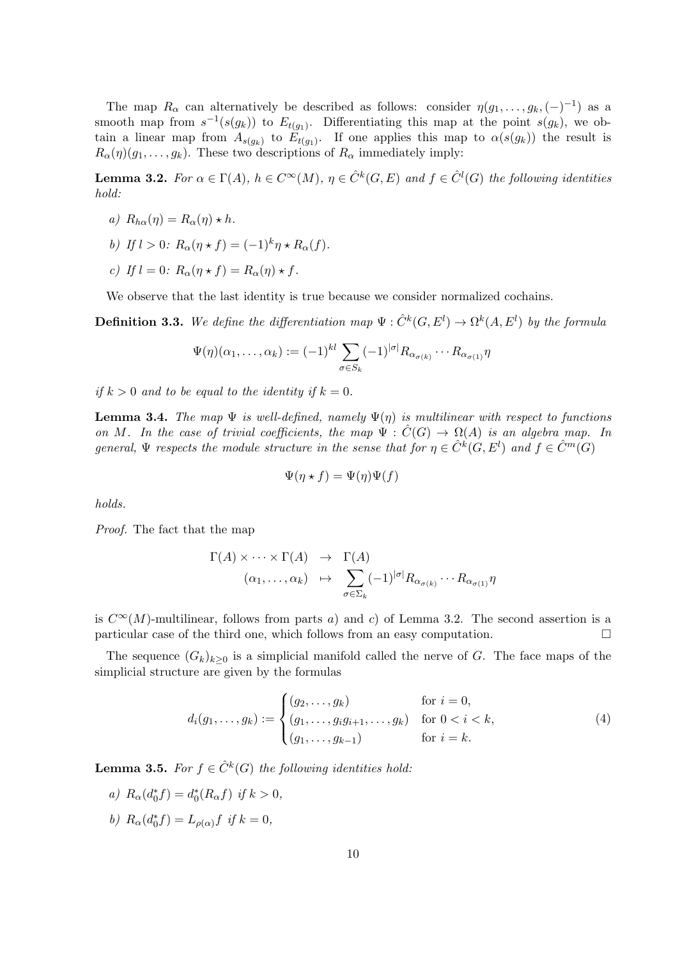The map  $R_{\alpha}$  can alternatively be described as follows: consider  $\eta(g_1, \ldots, g_k, (-)^{-1})$  as a smooth map from  $s^{-1}(s(g_k))$  to  $E_{t(g_1)}$ . Differentiating this map at the point  $s(g_k)$ , we obtain a linear map from  $A_{s(g_k)}$  to  $E_{t(g_1)}$ . If one applies this map to  $\alpha(s(g_k))$  the result is  $R_{\alpha}(\eta)(g_1,\ldots,g_k)$ . These two descriptions of  $R_{\alpha}$  immediately imply:

**Lemma 3.2.** For  $\alpha \in \Gamma(A)$ ,  $h \in C^{\infty}(M)$ ,  $\eta \in \hat{C}^k(G,E)$  and  $f \in \hat{C}^l(G)$  the following identities hold:

- a)  $R_{h\alpha}(\eta) = R_{\alpha}(\eta) \star h$ .
- b) If  $l > 0$ :  $R_{\alpha}(\eta \star f) = (-1)^k \eta \star R_{\alpha}(f)$ .
- c) If  $l = 0$ :  $R_{\alpha}(\eta \star f) = R_{\alpha}(\eta) \star f$ .

We observe that the last identity is true because we consider normalized cochains.

**Definition 3.3.** We define the differentiation map  $\Psi : \hat{C}^k(G, E^l) \to \Omega^k(A, E^l)$  by the formula

$$
\Psi(\eta)(\alpha_1,\ldots,\alpha_k) := (-1)^{kl} \sum_{\sigma \in S_k} (-1)^{|\sigma|} R_{\alpha_{\sigma(k)}} \cdots R_{\alpha_{\sigma(1)}} \eta
$$

if  $k > 0$  and to be equal to the identity if  $k = 0$ .

**Lemma 3.4.** The map  $\Psi$  is well-defined, namely  $\Psi(n)$  is multilinear with respect to functions on M. In the case of trivial coefficients, the map  $\Psi : \hat{C}(G) \to \Omega(A)$  is an algebra map. In general,  $\Psi$  respects the module structure in the sense that for  $\eta \in \hat{C}^k(G, E^l)$  and  $f \in \hat{C}^m(G)$ 

$$
\Psi(\eta \star f) = \Psi(\eta)\Psi(f)
$$

holds.

Proof. The fact that the map

$$
\Gamma(A) \times \cdots \times \Gamma(A) \rightarrow \Gamma(A) \n(\alpha_1, \ldots, \alpha_k) \rightarrow \sum_{\sigma \in \Sigma_k} (-1)^{|\sigma|} R_{\alpha_{\sigma(k)}} \cdots R_{\alpha_{\sigma(1)}} \eta
$$

is  $C^{\infty}(M)$ -multilinear, follows from parts a) and c) of Lemma 3.2. The second assertion is a particular case of the third one, which follows from an easy computation.

The sequence  $(G_k)_{k>0}$  is a simplicial manifold called the nerve of G. The face maps of the simplicial structure are given by the formulas

$$
d_i(g_1, \ldots, g_k) := \begin{cases} (g_2, \ldots, g_k) & \text{for } i = 0, \\ (g_1, \ldots, g_i g_{i+1}, \ldots, g_k) & \text{for } 0 < i < k, \\ (g_1, \ldots, g_{k-1}) & \text{for } i = k. \end{cases}
$$
 (4)

**Lemma 3.5.** For  $f \in \hat{C}^k(G)$  the following identities hold:

- a)  $R_{\alpha}(d_0^* f) = d_0^*(R_{\alpha} f)$  if  $k > 0$ ,
- b)  $R_{\alpha}(d_0^* f) = L_{\rho(\alpha)} f$  if  $k = 0$ ,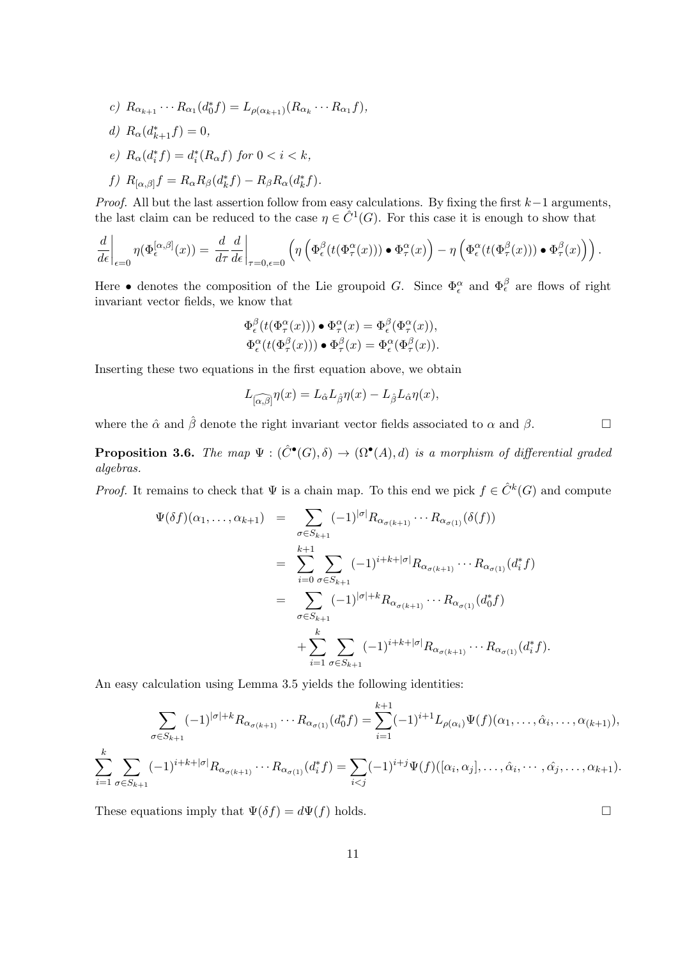- c)  $R_{\alpha_{k+1}} \cdots R_{\alpha_1} (d_0^* f) = L_{\rho(\alpha_{k+1})} (R_{\alpha_k} \cdots R_{\alpha_1} f),$
- d)  $R_{\alpha}(d_{k+1}^*f) = 0,$
- e)  $R_{\alpha}(d_i^* f) = d_i^*(R_{\alpha} f)$  for  $0 < i < k$ ,
- f)  $R_{\alpha,\beta}f = R_{\alpha}R_{\beta}(d_k^*f) R_{\beta}R_{\alpha}(d_k^*f).$

*Proof.* All but the last assertion follow from easy calculations. By fixing the first  $k-1$  arguments, the last claim can be reduced to the case  $\eta \in \hat{C}^1(G)$ . For this case it is enough to show that

$$
\frac{d}{d\epsilon}\bigg|_{\epsilon=0}\eta(\Phi_{\epsilon}^{[\alpha,\beta]}(x)) = \frac{d}{d\tau}\frac{d}{d\epsilon}\bigg|_{\tau=0,\epsilon=0}\left(\eta\left(\Phi_{\epsilon}^{\beta}(t(\Phi_{\tau}^{\alpha}(x)))\bullet \Phi_{\tau}^{\alpha}(x)\right) - \eta\left(\Phi_{\epsilon}^{\alpha}(t(\Phi_{\tau}^{\beta}(x)))\bullet \Phi_{\tau}^{\beta}(x)\right)\right).
$$

Here • denotes the composition of the Lie groupoid G. Since  $\Phi_{\epsilon}^{\alpha}$  and  $\Phi_{\epsilon}^{\beta}$  are flows of right invariant vector fields, we know that

$$
\Phi_{\epsilon}^{\beta}(t(\Phi_{\tau}^{\alpha}(x))) \bullet \Phi_{\tau}^{\alpha}(x) = \Phi_{\epsilon}^{\beta}(\Phi_{\tau}^{\alpha}(x)),
$$
  

$$
\Phi_{\epsilon}^{\alpha}(t(\Phi_{\tau}^{\beta}(x))) \bullet \Phi_{\tau}^{\beta}(x) = \Phi_{\epsilon}^{\alpha}(\Phi_{\tau}^{\beta}(x)).
$$

Inserting these two equations in the first equation above, we obtain

$$
L_{\widehat{[\alpha,\beta]}}\eta(x) = L_{\hat{\alpha}}L_{\hat{\beta}}\eta(x) - L_{\hat{\beta}}L_{\hat{\alpha}}\eta(x),
$$

where the  $\hat{\alpha}$  and  $\hat{\beta}$  denote the right invariant vector fields associated to  $\alpha$  and  $\beta$ .

**Proposition 3.6.** The map  $\Psi : (\hat{C}^{\bullet}(G), \delta) \to (\Omega^{\bullet}(A), d)$  is a morphism of differential graded algebras.

*Proof.* It remains to check that  $\Psi$  is a chain map. To this end we pick  $f \in \hat{C}^k(G)$  and compute

$$
\Psi(\delta f)(\alpha_1, ..., \alpha_{k+1}) = \sum_{\sigma \in S_{k+1}} (-1)^{|\sigma|} R_{\alpha_{\sigma(k+1)}} \cdots R_{\alpha_{\sigma(1)}}(\delta(f))
$$
  
\n
$$
= \sum_{i=0}^{k+1} \sum_{\sigma \in S_{k+1}} (-1)^{i+k+|\sigma|} R_{\alpha_{\sigma(k+1)}} \cdots R_{\alpha_{\sigma(1)}}(d_i^* f)
$$
  
\n
$$
= \sum_{\sigma \in S_{k+1}} (-1)^{|\sigma|+k} R_{\alpha_{\sigma(k+1)}} \cdots R_{\alpha_{\sigma(1)}}(d_0^* f)
$$
  
\n
$$
+ \sum_{i=1}^k \sum_{\sigma \in S_{k+1}} (-1)^{i+k+|\sigma|} R_{\alpha_{\sigma(k+1)}} \cdots R_{\alpha_{\sigma(1)}}(d_i^* f).
$$

An easy calculation using Lemma 3.5 yields the following identities:

$$
\sum_{\sigma \in S_{k+1}} (-1)^{|\sigma|+k} R_{\alpha_{\sigma(k+1)}} \cdots R_{\alpha_{\sigma(1)}}(d_0^* f) = \sum_{i=1}^{k+1} (-1)^{i+1} L_{\rho(\alpha_i)} \Psi(f)(\alpha_1, \dots, \hat{\alpha}_i, \dots, \alpha_{(k+1)}),
$$
  

$$
\sum_{i=1}^k \sum_{\sigma \in S_{k+1}} (-1)^{i+k+|\sigma|} R_{\alpha_{\sigma(k+1)}} \cdots R_{\alpha_{\sigma(1)}}(d_i^* f) = \sum_{i < j} (-1)^{i+j} \Psi(f)([\alpha_i, \alpha_j], \dots, \hat{\alpha}_i, \dots, \hat{\alpha}_j, \dots, \alpha_{k+1}).
$$

These equations imply that  $\Psi(\delta f) = d\Psi(f)$  holds.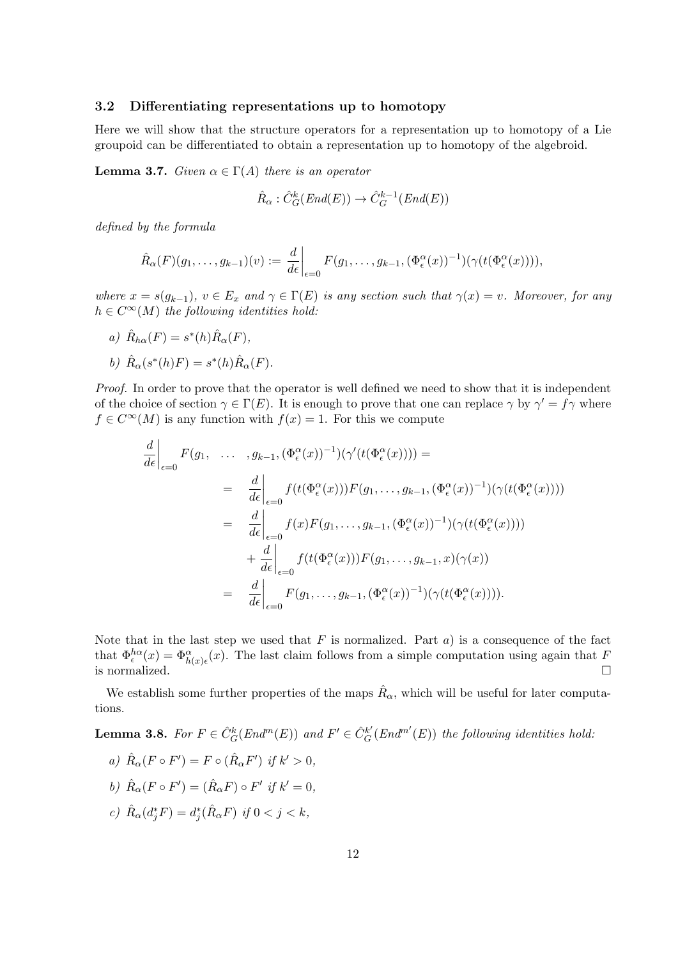#### 3.2 Differentiating representations up to homotopy

Here we will show that the structure operators for a representation up to homotopy of a Lie groupoid can be differentiated to obtain a representation up to homotopy of the algebroid.

**Lemma 3.7.** Given  $\alpha \in \Gamma(A)$  there is an operator

$$
\hat{R}_{\alpha} : \hat{C}_G^k(End(E)) \to \hat{C}_G^{k-1}(End(E))
$$

defined by the formula

$$
\hat{R}_{\alpha}(F)(g_1,\ldots,g_{k-1})(v):=\left.\frac{d}{d\epsilon}\right|_{\epsilon=0}F(g_1,\ldots,g_{k-1},(\Phi_{\epsilon}^{\alpha}(x))^{-1})(\gamma(t(\Phi_{\epsilon}^{\alpha}(x))))
$$

where  $x = s(g_{k-1}), v \in E_x$  and  $\gamma \in \Gamma(E)$  is any section such that  $\gamma(x) = v$ . Moreover, for any  $h \in C^{\infty}(M)$  the following identities hold:

a)  $\hat{R}_{h\alpha}(F) = s^*(h)\hat{R}_{\alpha}(F),$ 

$$
b) \hat{R}_{\alpha}(s^*(h)F) = s^*(h)\hat{R}_{\alpha}(F).
$$

Proof. In order to prove that the operator is well defined we need to show that it is independent of the choice of section  $\gamma \in \Gamma(E)$ . It is enough to prove that one can replace  $\gamma$  by  $\gamma' = f\gamma$  where  $f \in C^{\infty}(M)$  is any function with  $f(x) = 1$ . For this we compute

$$
\frac{d}{d\epsilon}\Big|_{\epsilon=0} F(g_1, \dots, g_{k-1}, (\Phi_\epsilon^{\alpha}(x))^{-1})(\gamma'(t(\Phi_\epsilon^{\alpha}(x)))) =
$$
\n
$$
= \frac{d}{d\epsilon}\Big|_{\epsilon=0} f(t(\Phi_\epsilon^{\alpha}(x)))F(g_1, \dots, g_{k-1}, (\Phi_\epsilon^{\alpha}(x))^{-1})(\gamma(t(\Phi_\epsilon^{\alpha}(x))))
$$
\n
$$
= \frac{d}{d\epsilon}\Big|_{\epsilon=0} f(x)F(g_1, \dots, g_{k-1}, (\Phi_\epsilon^{\alpha}(x))^{-1})(\gamma(t(\Phi_\epsilon^{\alpha}(x))))
$$
\n
$$
+ \frac{d}{d\epsilon}\Big|_{\epsilon=0} f(t(\Phi_\epsilon^{\alpha}(x)))F(g_1, \dots, g_{k-1}, x)(\gamma(x))
$$
\n
$$
= \frac{d}{d\epsilon}\Big|_{\epsilon=0} F(g_1, \dots, g_{k-1}, (\Phi_\epsilon^{\alpha}(x))^{-1})(\gamma(t(\Phi_\epsilon^{\alpha}(x)))) .
$$

Note that in the last step we used that  $F$  is normalized. Part  $a$ ) is a consequence of the fact that  $\Phi_{\epsilon}^{h\alpha}(x) = \Phi_{h(x)\epsilon}^{\alpha}(x)$ . The last claim follows from a simple computation using again that F is normalized.  $\Box$ 

We establish some further properties of the maps  $\hat{R}_{\alpha}$ , which will be useful for later computations.

**Lemma 3.8.** For  $F \in \hat{C}_G^k(End^m(E))$  and  $F' \in \hat{C}_G^{k'}(End^{m'}(E))$  the following identities hold:

- a)  $\hat{R}_{\alpha}(F \circ F') = F \circ (\hat{R}_{\alpha} F')$  if  $k' > 0$ ,
- b)  $\hat{R}_{\alpha}(F \circ F') = (\hat{R}_{\alpha}F) \circ F'$  if  $k' = 0$ ,
- c)  $\hat{R}_{\alpha}(d_j^*F) = d_j^*(\hat{R}_{\alpha}F)$  if  $0 < j < k$ ,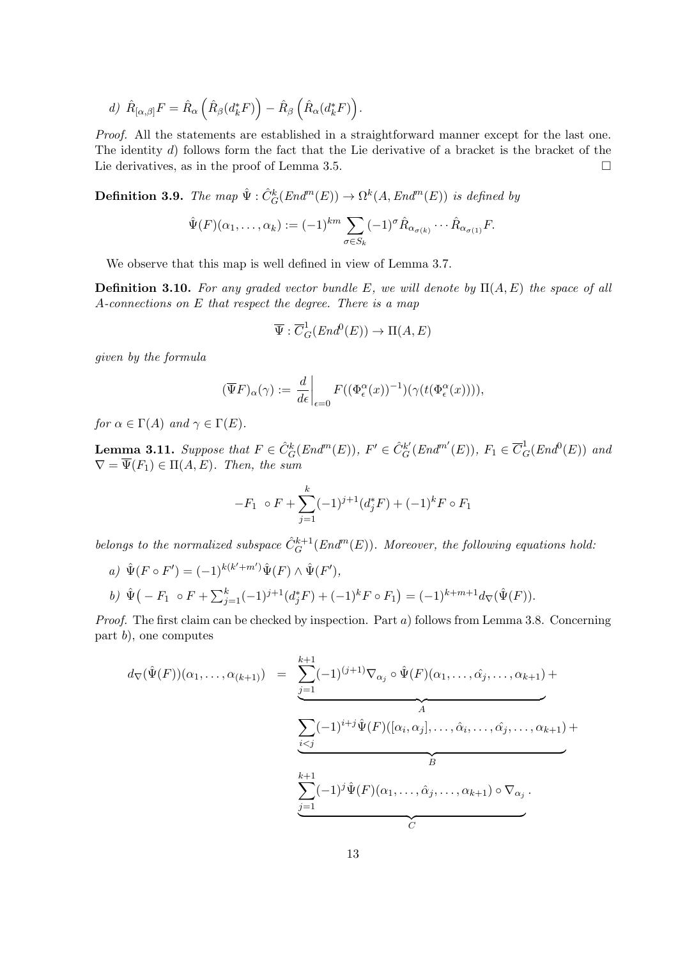$$
d) \hat{R}_{[\alpha,\beta]}F = \hat{R}_{\alpha}\left(\hat{R}_{\beta}(d_{k}^{*}F)\right) - \hat{R}_{\beta}\left(\hat{R}_{\alpha}(d_{k}^{*}F)\right).
$$

Proof. All the statements are established in a straightforward manner except for the last one. The identity d) follows form the fact that the Lie derivative of a bracket is the bracket of the Lie derivatives, as in the proof of Lemma 3.5.

**Definition 3.9.** The map  $\hat{\Psi}$  :  $\hat{C}_G^k(End^m(E)) \to \Omega^k(A, End^m(E))$  is defined by

$$
\hat{\Psi}(F)(\alpha_1,\ldots,\alpha_k) := (-1)^{km} \sum_{\sigma \in S_k} (-1)^{\sigma} \hat{R}_{\alpha_{\sigma(k)}} \cdots \hat{R}_{\alpha_{\sigma(1)}} F.
$$

We observe that this map is well defined in view of Lemma 3.7.

**Definition 3.10.** For any graded vector bundle E, we will denote by  $\Pi(A, E)$  the space of all A-connections on E that respect the degree. There is a map

$$
\overline{\Psi}: \overline{C}_G^1(End^0(E)) \to \Pi(A, E)
$$

given by the formula

$$
(\overline{\Psi}F)_{\alpha}(\gamma) := \left. \frac{d}{d\epsilon} \right|_{\epsilon=0} F((\Phi_{\epsilon}^{\alpha}(x))^{-1})(\gamma(t(\Phi_{\epsilon}^{\alpha}(x))))
$$

for  $\alpha \in \Gamma(A)$  and  $\gamma \in \Gamma(E)$ .

**Lemma 3.11.** Suppose that  $F \in \hat{C}_G^k(End^m(E)), F' \in \hat{C}_G^{k'}(End^{m'}(E)), F_1 \in \overline{C}_G^1(End^0(E))$  and  $\nabla = \Psi(F_1) \in \Pi(A, E)$ . Then, the sum

$$
-F_1 \circ F + \sum_{j=1}^k (-1)^{j+1} (d_j^* F) + (-1)^k F \circ F_1
$$

belongs to the normalized subspace  $\hat{C}_G^{k+1}(End^m(E))$ . Moreover, the following equations hold:

a)  $\hat{\Psi}(F \circ F') = (-1)^{k(k'+m')} \hat{\Psi}(F) \wedge \hat{\Psi}(F'),$ 

b) 
$$
\hat{\Psi}(-F_1 \circ F + \sum_{j=1}^k (-1)^{j+1} (d_j^* F) + (-1)^k F \circ F_1) = (-1)^{k+m+1} d_{\nabla}(\hat{\Psi}(F)).
$$

Proof. The first claim can be checked by inspection. Part a) follows from Lemma 3.8. Concerning part b), one computes

$$
d_{\nabla}(\hat{\Psi}(F))(\alpha_{1},...,\alpha_{(k+1)}) = \underbrace{\sum_{j=1}^{k+1} (-1)^{(j+1)} \nabla_{\alpha_{j}} \circ \hat{\Psi}(F)(\alpha_{1},...,\hat{\alpha_{j}},...,\alpha_{k+1})}_{A} + \underbrace{\sum_{i
$$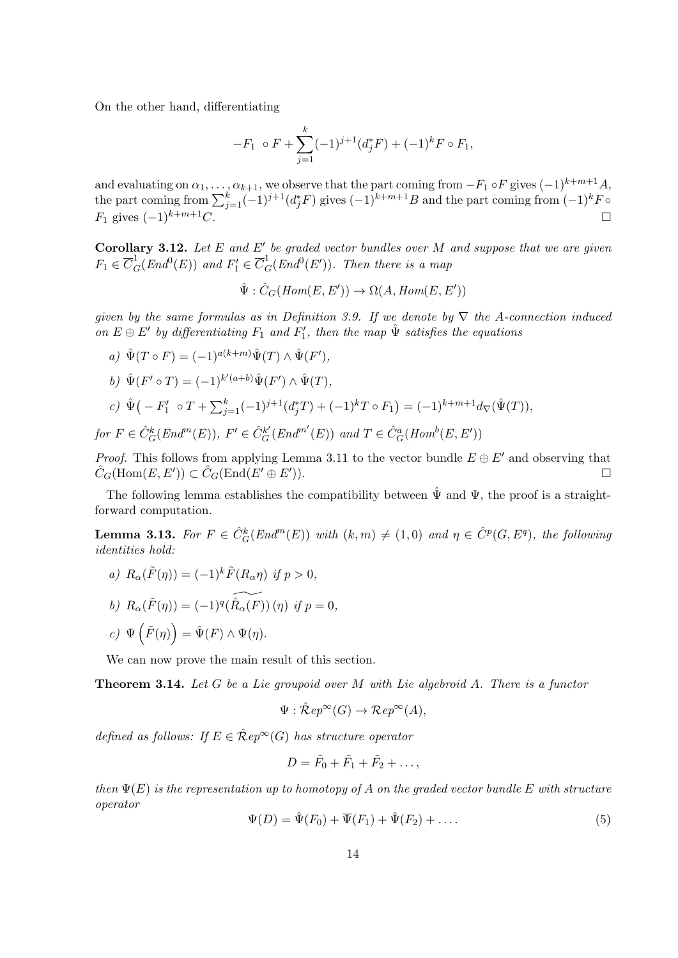On the other hand, differentiating

$$
-F_1 \circ F + \sum_{j=1}^k (-1)^{j+1} (d_j^* F) + (-1)^k F \circ F_1,
$$

and evaluating on  $\alpha_1, \ldots, \alpha_{k+1}$ , we observe that the part coming from  $-F_1 \circ F$  gives  $(-1)^{k+m+1}A$ , the part coming from  $\sum_{j=1}^{k}(-1)^{j+1}(d_j^*F)$  gives  $(-1)^{k+m+1}B$  and the part coming from  $(-1)^kF$  $F_1$  gives  $(-1)^{k+m+1}C$ .

**Corollary 3.12.** Let  $E$  and  $E'$  be graded vector bundles over M and suppose that we are given  $F_1 \in \overline{C}_G^1(End^0(E))$  and  $F'_1 \in \overline{C}_G^1(End^0(E'))$ . Then there is a map

$$
\hat{\Psi}: \hat{C}_G(Hom(E, E')) \to \Omega(A, Hom(E, E'))
$$

given by the same formulas as in Definition 3.9. If we denote by  $\nabla$  the A-connection induced on  $E \oplus E'$  by differentiating  $F_1$  and  $F'_1$ , then the map  $\hat{\Psi}$  satisfies the equations

- a)  $\hat{\Psi}(T \circ F) = (-1)^{a(k+m)} \hat{\Psi}(T) \wedge \hat{\Psi}(F'),$
- b)  $\hat{\Psi}(F' \circ T) = (-1)^{k'(a+b)} \hat{\Psi}(F') \wedge \hat{\Psi}(T),$
- c)  $\hat{\Psi}(-F'_1 \circ T + \sum_{j=1}^k (-1)^{j+1}(d_j^*T) + (-1)^kT \circ F_1) = (-1)^{k+m+1}d_{\nabla}(\hat{\Psi}(T)),$ for  $F \in \hat{C}_G^k(End^m(E)), F' \in \hat{C}_G^{k'}(End^{m'}(E))$  and  $T \in \hat{C}_G^a(Hom^b(E, E'))$

*Proof.* This follows from applying Lemma 3.11 to the vector bundle  $E \oplus E'$  and observing that  $\hat{C}_G(\text{Hom}(E,E')) \subset \hat{C}_G(\text{End}(E' \oplus E')$  $\Box$ ).

The following lemma establishes the compatibility between  $\hat{\Psi}$  and  $\Psi$ , the proof is a straightforward computation.

**Lemma 3.13.** For  $F \in \hat{C}_G^k(End^m(E))$  with  $(k,m) \neq (1,0)$  and  $\eta \in \hat{C}^p(G, E^q)$ , the following identities hold:

a)  $R_{\alpha}(\tilde{F}(\eta)) = (-1)^{k} \tilde{F}(R_{\alpha}\eta)$  if  $p > 0$ , b)  $R_{\alpha}(\tilde{F}(\eta)) = (-1)^{q}(\widetilde{R_{\alpha}(F)})(\eta)$  if  $p = 0$ , c)  $\Psi\left(\tilde{F}(\eta)\right) = \hat{\Psi}(F) \wedge \Psi(\eta).$ 

We can now prove the main result of this section.

**Theorem 3.14.** Let G be a Lie groupoid over M with Lie algebroid A. There is a functor

$$
\Psi : \mathcal{\hat{R}}ep^{\infty}(G) \to \mathcal{R}ep^{\infty}(A),
$$

defined as follows: If  $E \in \mathcal{R}ep^{\infty}(G)$  has structure operator

$$
D=\tilde{F}_0+\tilde{F}_1+\tilde{F}_2+\ldots,
$$

then  $\Psi(E)$  is the representation up to homotopy of A on the graded vector bundle E with structure operator

$$
\Psi(D) = \hat{\Psi}(F_0) + \overline{\Psi}(F_1) + \hat{\Psi}(F_2) + \dots
$$
\n(5)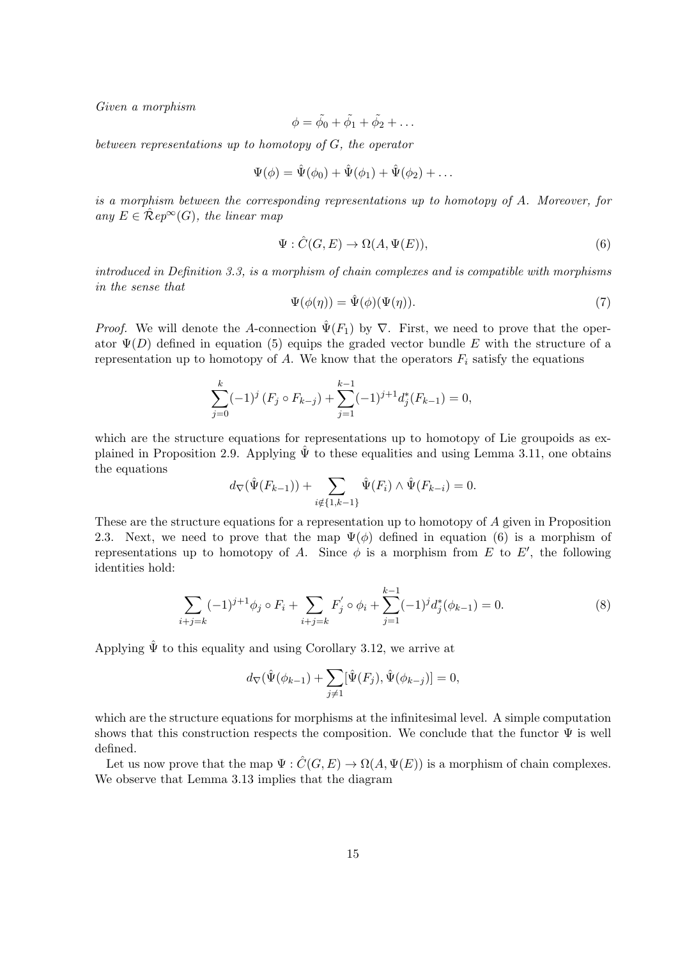Given a morphism

$$
\phi = \tilde{\phi}_0 + \tilde{\phi}_1 + \tilde{\phi}_2 + \dots
$$

between representations up to homotopy of G, the operator

$$
\Psi(\phi) = \hat{\Psi}(\phi_0) + \hat{\Psi}(\phi_1) + \hat{\Psi}(\phi_2) + \dots
$$

is a morphism between the corresponding representations up to homotopy of A. Moreover, for any  $E \in \mathcal{R}ep^{\infty}(G)$ , the linear map

$$
\Psi: \hat{C}(G, E) \to \Omega(A, \Psi(E)),\tag{6}
$$

introduced in Definition 3.3, is a morphism of chain complexes and is compatible with morphisms in the sense that

$$
\Psi(\phi(\eta)) = \hat{\Psi}(\phi)(\Psi(\eta)).\tag{7}
$$

*Proof.* We will denote the A-connection  $\hat{\Psi}(F_1)$  by  $\nabla$ . First, we need to prove that the operator  $\Psi(D)$  defined in equation (5) equips the graded vector bundle E with the structure of a representation up to homotopy of A. We know that the operators  $F_i$  satisfy the equations

$$
\sum_{j=0}^{k} (-1)^{j} (F_j \circ F_{k-j}) + \sum_{j=1}^{k-1} (-1)^{j+1} d_j^*(F_{k-1}) = 0,
$$

which are the structure equations for representations up to homotopy of Lie groupoids as explained in Proposition 2.9. Applying  $\hat{\Psi}$  to these equalities and using Lemma 3.11, one obtains the equations

$$
d_{\nabla}(\hat{\Psi}(F_{k-1})) + \sum_{i \notin \{1,k-1\}} \hat{\Psi}(F_i) \wedge \hat{\Psi}(F_{k-i}) = 0.
$$

These are the structure equations for a representation up to homotopy of A given in Proposition 2.3. Next, we need to prove that the map  $\Psi(\phi)$  defined in equation (6) is a morphism of representations up to homotopy of A. Since  $\phi$  is a morphism from E to E', the following identities hold:

$$
\sum_{i+j=k} (-1)^{j+1} \phi_j \circ F_i + \sum_{i+j=k} F'_j \circ \phi_i + \sum_{j=1}^{k-1} (-1)^j d_j^*(\phi_{k-1}) = 0.
$$
 (8)

Applying  $\hat{\Psi}$  to this equality and using Corollary 3.12, we arrive at

$$
d_{\nabla}(\hat{\Psi}(\phi_{k-1}) + \sum_{j \neq 1} [\hat{\Psi}(F_j), \hat{\Psi}(\phi_{k-j})] = 0,
$$

which are the structure equations for morphisms at the infinitesimal level. A simple computation shows that this construction respects the composition. We conclude that the functor  $\Psi$  is well defined.

Let us now prove that the map  $\Psi : \hat{C}(G, E) \to \Omega(A, \Psi(E))$  is a morphism of chain complexes. We observe that Lemma 3.13 implies that the diagram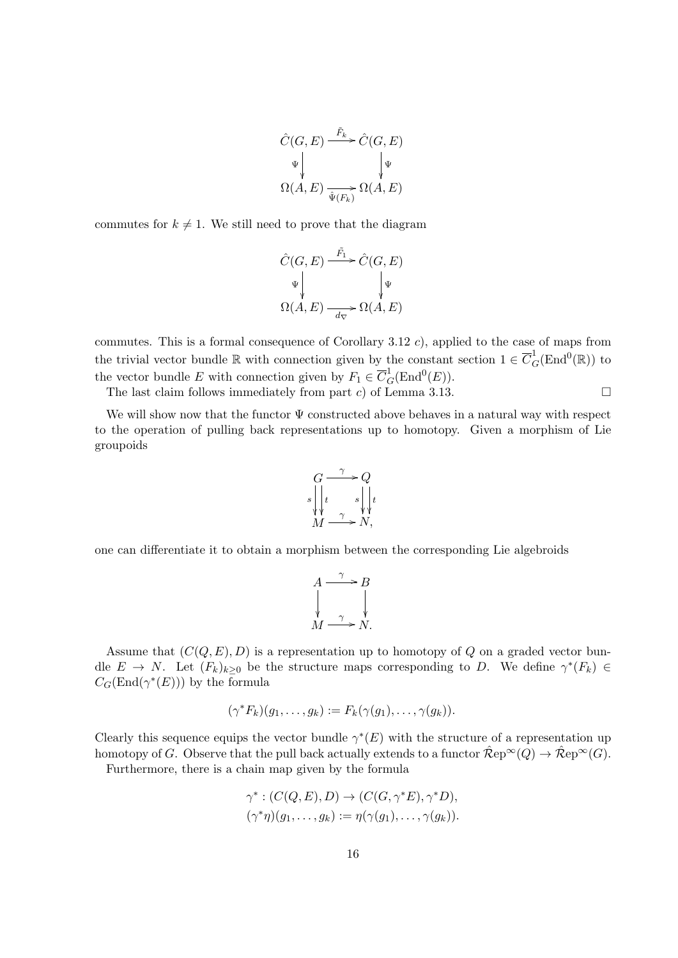$$
\hat{C}(G, E) \xrightarrow{\tilde{F}_k} \hat{C}(G, E)
$$
  
\n
$$
\Psi \downarrow \qquad \qquad \downarrow \Psi
$$
  
\n
$$
\Omega(A, E) \xrightarrow{\tilde{\Psi}(F_k)} \Omega(A, E)
$$

commutes for  $k \neq 1$ . We still need to prove that the diagram

$$
\hat{C}(G, E) \xrightarrow{\tilde{F}_1} \hat{C}(G, E)
$$
\n
$$
\downarrow \qquad \qquad \downarrow \qquad \downarrow \downarrow
$$
\n
$$
\Omega(A, E) \xrightarrow[d_{\nabla}]{} \Omega(A, E)
$$

commutes. This is a formal consequence of Corollary 3.12 c), applied to the case of maps from the trivial vector bundle  $\mathbb R$  with connection given by the constant section  $1 \in \overline{C}_G^1(\text{End}^0(\mathbb R))$  to the vector bundle E with connection given by  $F_1 \in \overline{C}_G^1(\text{End}^0(E)).$ 

The last claim follows immediately from part c) of Lemma 3.13.  $\square$ 

We will show now that the functor  $\Psi$  constructed above behaves in a natural way with respect to the operation of pulling back representations up to homotopy. Given a morphism of Lie groupoids



one can differentiate it to obtain a morphism between the corresponding Lie algebroids

$$
A \xrightarrow{\gamma} B
$$
  
 
$$
\downarrow \qquad \qquad \downarrow
$$
  
 
$$
M \xrightarrow{\gamma} N.
$$

Assume that  $(C(Q, E), D)$  is a representation up to homotopy of Q on a graded vector bundle  $E \to N$ . Let  $(F_k)_{k\geq 0}$  be the structure maps corresponding to D. We define  $\gamma^*(F_k) \in$  $C_G(\text{End}(\gamma^*(E)))$  by the formula

$$
(\gamma^* F_k)(g_1,\ldots,g_k) := F_k(\gamma(g_1),\ldots,\gamma(g_k)).
$$

Clearly this sequence equips the vector bundle  $\gamma^*(E)$  with the structure of a representation up homotopy of G. Observe that the pull back actually extends to a functor  $\mathcal{R}ep^{\infty}(Q) \to \mathcal{R}ep^{\infty}(G)$ .

Furthermore, there is a chain map given by the formula

$$
\gamma^* : (C(Q, E), D) \to (C(G, \gamma^* E), \gamma^* D),
$$
  

$$
(\gamma^* \eta)(g_1, \dots, g_k) := \eta(\gamma(g_1), \dots, \gamma(g_k)).
$$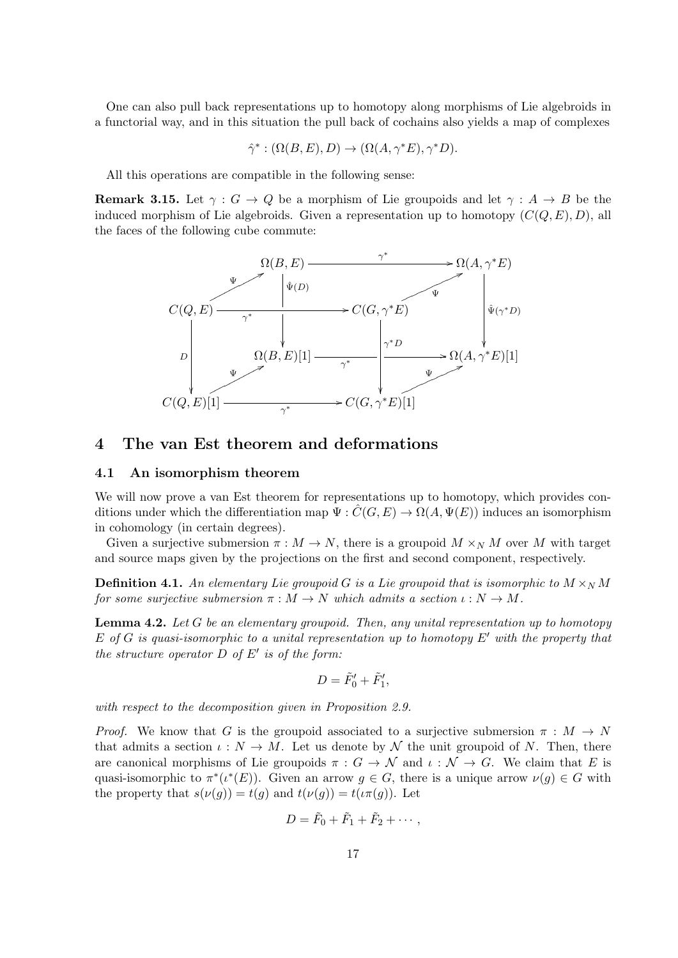One can also pull back representations up to homotopy along morphisms of Lie algebroids in a functorial way, and in this situation the pull back of cochains also yields a map of complexes

$$
\hat{\gamma}^* : (\Omega(B,E),D) \to (\Omega(A,\gamma^*E),\gamma^*D).
$$

All this operations are compatible in the following sense:

**Remark 3.15.** Let  $\gamma: G \to Q$  be a morphism of Lie groupoids and let  $\gamma: A \to B$  be the induced morphism of Lie algebroids. Given a representation up to homotopy  $(C(Q, E), D)$ , all the faces of the following cube commute:



### 4 The van Est theorem and deformations

#### 4.1 An isomorphism theorem

We will now prove a van Est theorem for representations up to homotopy, which provides conditions under which the differentiation map  $\Psi : \tilde{C}(G, E) \to \Omega(A, \Psi(E))$  induces an isomorphism in cohomology (in certain degrees).

Given a surjective submersion  $\pi : M \to N$ , there is a groupoid  $M \times_N M$  over M with target and source maps given by the projections on the first and second component, respectively.

**Definition 4.1.** An elementary Lie groupoid G is a Lie groupoid that is isomorphic to  $M \times_N M$ for some surjective submersion  $\pi : M \to N$  which admits a section  $\iota : N \to M$ .

**Lemma 4.2.** Let G be an elementary groupoid. Then, any unital representation up to homotopy E of G is quasi-isomorphic to a unital representation up to homotopy  $E'$  with the property that the structure operator  $D$  of  $E'$  is of the form:

$$
D = \tilde{F}'_0 + \tilde{F}'_1,
$$

with respect to the decomposition given in Proposition 2.9.

*Proof.* We know that G is the groupoid associated to a surjective submersion  $\pi : M \to N$ that admits a section  $\iota: N \to M$ . Let us denote by N the unit groupoid of N. Then, there are canonical morphisms of Lie groupoids  $\pi : G \to \mathcal{N}$  and  $\iota : \mathcal{N} \to G$ . We claim that E is quasi-isomorphic to  $\pi^*(\iota^*(E))$ . Given an arrow  $g \in G$ , there is a unique arrow  $\nu(g) \in G$  with the property that  $s(\nu(g)) = t(g)$  and  $t(\nu(g)) = t(\iota \pi(g))$ . Let

$$
D=\tilde{F}_0+\tilde{F}_1+\tilde{F}_2+\cdots,
$$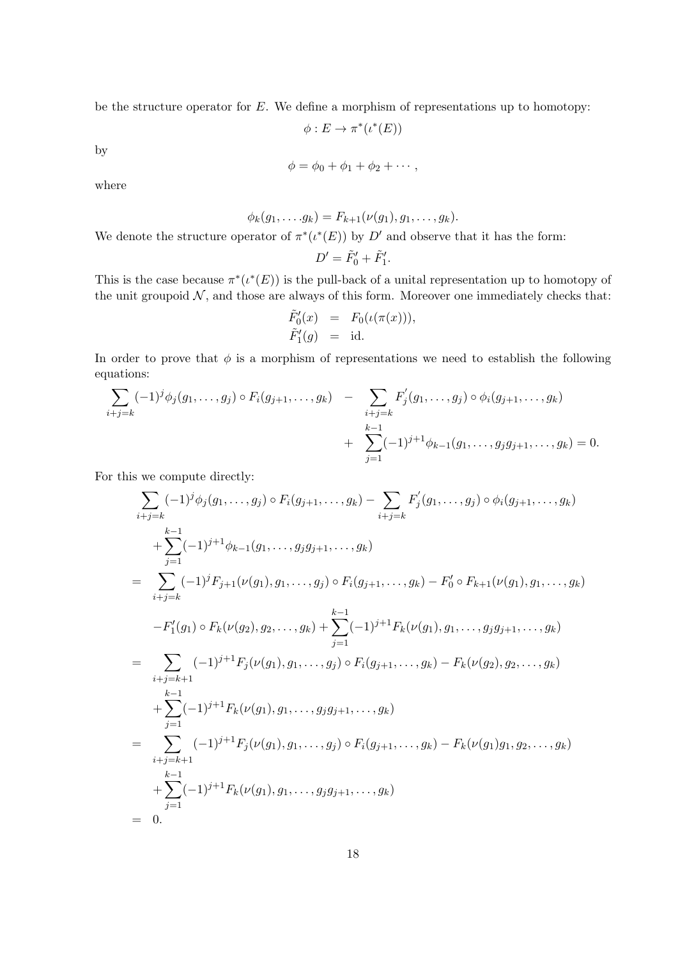be the structure operator for  $E$ . We define a morphism of representations up to homotopy:

$$
\phi: E \to \pi^*(\iota^*(E))
$$

by

$$
\phi = \phi_0 + \phi_1 + \phi_2 + \cdots,
$$

where

$$
\phi_k(g_1,\ldots,g_k) = F_{k+1}(\nu(g_1),g_1,\ldots,g_k).
$$

We denote the structure operator of  $\pi^*(\iota^*(E))$  by D' and observe that it has the form:

$$
D' = \tilde{F}'_0 + \tilde{F}'_1.
$$

This is the case because  $\pi^*(\iota^*(E))$  is the pull-back of a unital representation up to homotopy of the unit groupoid  $N$ , and those are always of this form. Moreover one immediately checks that:

$$
\begin{array}{rcl}\n\tilde{F}'_0(x) & = & F_0(\iota(\pi(x))), \\
\tilde{F}'_1(g) & = & \text{id}.\n\end{array}
$$

In order to prove that  $\phi$  is a morphism of representations we need to establish the following equations:

$$
\sum_{i+j=k} (-1)^{j} \phi_{j}(g_{1}, \ldots, g_{j}) \circ F_{i}(g_{j+1}, \ldots, g_{k}) - \sum_{\substack{i+j=k \ k-1}} F'_{j}(g_{1}, \ldots, g_{j}) \circ \phi_{i}(g_{j+1}, \ldots, g_{k}) + \sum_{j=1}^{k-1} (-1)^{j+1} \phi_{k-1}(g_{1}, \ldots, g_{j}g_{j+1}, \ldots, g_{k}) = 0.
$$

For this we compute directly:

$$
\sum_{i+j=k} (-1)^{j} \phi_{j}(g_{1},...,g_{j}) \circ F_{i}(g_{j+1},...,g_{k}) - \sum_{i+j=k} F'_{j}(g_{1},...,g_{j}) \circ \phi_{i}(g_{j+1},...,g_{k})
$$
\n
$$
+ \sum_{j=1}^{k-1} (-1)^{j+1} \phi_{k-1}(g_{1},...,g_{j}g_{j+1},...,g_{k})
$$
\n
$$
= \sum_{i+j=k} (-1)^{j} F_{j+1}(\nu(g_{1}),g_{1},...,g_{j}) \circ F_{i}(g_{j+1},...,g_{k}) - F'_{0} \circ F_{k+1}(\nu(g_{1}),g_{1},...,g_{k})
$$
\n
$$
-F'_{1}(g_{1}) \circ F_{k}(\nu(g_{2}),g_{2},...,g_{k}) + \sum_{j=1}^{k-1} (-1)^{j+1} F_{k}(\nu(g_{1}),g_{1},...,g_{j}g_{j+1},...,g_{k})
$$
\n
$$
= \sum_{i+j=k+1} (-1)^{j+1} F_{j}(\nu(g_{1}),g_{1},...,g_{j}) \circ F_{i}(g_{j+1},...,g_{k}) - F_{k}(\nu(g_{2}),g_{2},...,g_{k})
$$
\n
$$
+ \sum_{j=1}^{k-1} (-1)^{j+1} F_{k}(\nu(g_{1}),g_{1},...,g_{j}g_{j+1},...,g_{k})
$$
\n
$$
= \sum_{i+j=k+1} (-1)^{j+1} F_{j}(\nu(g_{1}),g_{1},...,g_{j}) \circ F_{i}(g_{j+1},...,g_{k}) - F_{k}(\nu(g_{1})g_{1},g_{2},...,g_{k})
$$
\n
$$
= 0.
$$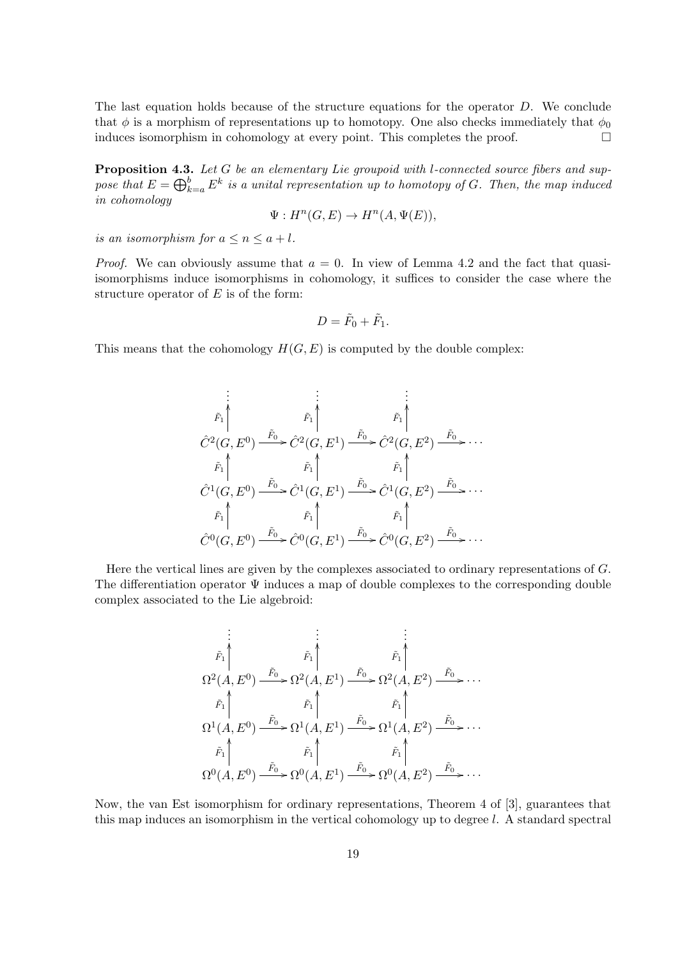The last equation holds because of the structure equations for the operator D. We conclude that  $\phi$  is a morphism of representations up to homotopy. One also checks immediately that  $\phi_0$ induces isomorphism in cohomology at every point. This completes the proof.

Proposition 4.3. Let G be an elementary Lie groupoid with l-connected source fibers and suppose that  $E = \bigoplus_{k=a}^{b} E^k$  is a unital representation up to homotopy of G. Then, the map induced in cohomology

$$
\Psi: H^n(G, E) \to H^n(A, \Psi(E)),
$$

is an isomorphism for  $a \leq n \leq a + l$ .

*Proof.* We can obviously assume that  $a = 0$ . In view of Lemma 4.2 and the fact that quasiisomorphisms induce isomorphisms in cohomology, it suffices to consider the case where the structure operator of  $E$  is of the form:

$$
D=\tilde{F}_0+\tilde{F}_1.
$$

This means that the cohomology  $H(G, E)$  is computed by the double complex:

$$
\begin{array}{ccc}\n\vdots & \vdots & \vdots \\
\tilde{F}_{1} & \tilde{F}_{1} & \tilde{F}_{1} \\
\hat{C}^{2}(G, E^{0}) & \xrightarrow{\tilde{F}_{0}} \hat{C}^{2}(G, E^{1}) & \xrightarrow{\tilde{F}_{0}} \hat{C}^{2}(G, E^{2}) & \xrightarrow{\tilde{F}_{0}} \cdots \\
\tilde{F}_{1} & \tilde{F}_{1} & \tilde{F}_{1} & \tilde{F}_{1} \\
\hat{C}^{1}(G, E^{0}) & \xrightarrow{\tilde{F}_{0}} \hat{C}^{1}(G, E^{1}) & \xrightarrow{\tilde{F}_{0}} \hat{C}^{1}(G, E^{2}) & \xrightarrow{\tilde{F}_{0}} \cdots \\
\tilde{F}_{1} & \tilde{F}_{1} & \tilde{F}_{1} & \tilde{F}_{1} \\
\hat{C}^{0}(G, E^{0}) & \xrightarrow{\tilde{F}_{0}} \hat{C}^{0}(G, E^{1}) & \xrightarrow{\tilde{F}_{0}} \hat{C}^{0}(G, E^{2}) & \xrightarrow{\tilde{F}_{0}} \cdots\n\end{array}
$$

Here the vertical lines are given by the complexes associated to ordinary representations of G. The differentiation operator  $\Psi$  induces a map of double complexes to the corresponding double complex associated to the Lie algebroid:

$$
\begin{array}{ccc}\n\vdots & \vdots & \vdots \\
\tilde{F}_1 \uparrow & \tilde{F}_1 \uparrow & \tilde{F}_1 \\
\Omega^2(A, E^0) & \xrightarrow{\tilde{F}_0} \Omega^2(A, E^1) & \xrightarrow{\tilde{F}_0} \Omega^2(A, E^2) & \xrightarrow{\tilde{F}_0} \cdots \\
& \tilde{F}_1 \uparrow & \tilde{F}_1 \uparrow & \tilde{F}_1 \uparrow \\
\Omega^1(A, E^0) & \xrightarrow{\tilde{F}_0} \Omega^1(A, E^1) & \xrightarrow{\tilde{F}_0} \Omega^1(A, E^2) & \xrightarrow{\tilde{F}_0} \cdots \\
& \tilde{F}_1 \uparrow & \tilde{F}_1 \uparrow & \tilde{F}_1 \uparrow \\
\Omega^0(A, E^0) & \xrightarrow{\tilde{F}_0} \Omega^0(A, E^1) & \xrightarrow{\tilde{F}_0} \Omega^0(A, E^2) & \xrightarrow{\tilde{F}_0} \cdots\n\end{array}
$$

Now, the van Est isomorphism for ordinary representations, Theorem 4 of [3], guarantees that this map induces an isomorphism in the vertical cohomology up to degree l. A standard spectral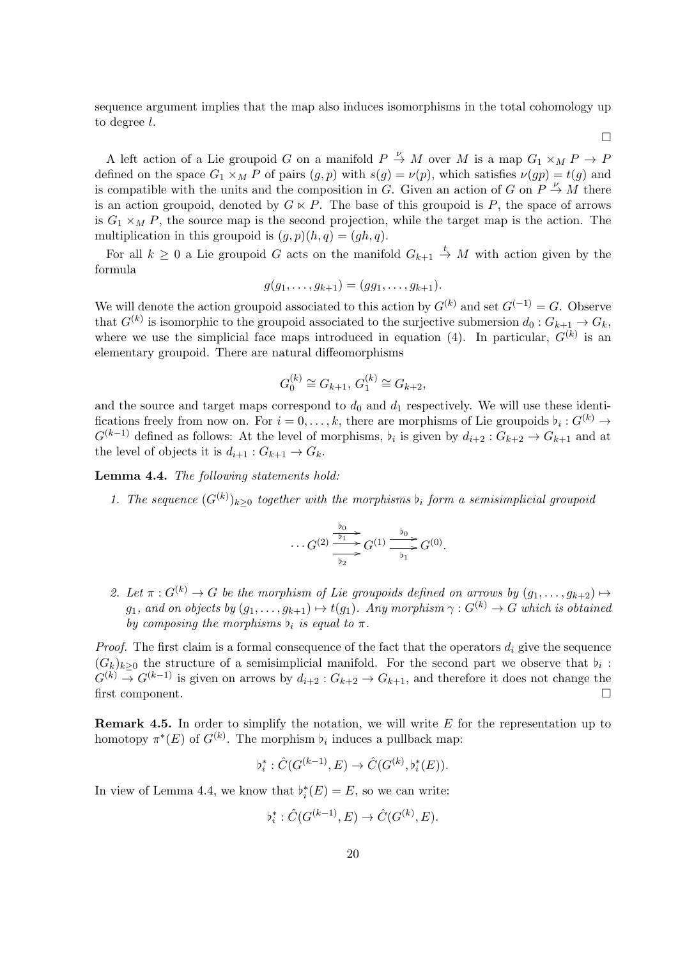sequence argument implies that the map also induces isomorphisms in the total cohomology up to degree l.

 $\Box$ 

A left action of a Lie groupoid G on a manifold  $P \stackrel{\nu}{\to} M$  over M is a map  $G_1 \times_M P \to P$ defined on the space  $G_1 \times_M P$  of pairs  $(g, p)$  with  $s(g) = \nu(p)$ , which satisfies  $\nu(gp) = t(g)$  and is compatible with the units and the composition in G. Given an action of G on  $P \stackrel{\nu}{\rightarrow} M$  there is an action groupoid, denoted by  $G \ltimes P$ . The base of this groupoid is P, the space of arrows is  $G_1 \times_M P$ , the source map is the second projection, while the target map is the action. The multiplication in this groupoid is  $(g, p)(h, q) = (gh, q)$ .

For all  $k \geq 0$  a Lie groupoid G acts on the manifold  $G_{k+1} \stackrel{t}{\rightarrow} M$  with action given by the formula

$$
g(g_1,\ldots,g_{k+1})=(gg_1,\ldots,g_{k+1}).
$$

We will denote the action groupoid associated to this action by  $G^{(k)}$  and set  $G^{(-1)} = G$ . Observe that  $G^{(k)}$  is isomorphic to the groupoid associated to the surjective submersion  $d_0: G_{k+1} \to G_k$ , where we use the simplicial face maps introduced in equation (4). In particular,  $G^{(k)}$  is an elementary groupoid. There are natural diffeomorphisms

$$
G_0^{(k)} \cong G_{k+1}, G_1^{(k)} \cong G_{k+2},
$$

and the source and target maps correspond to  $d_0$  and  $d_1$  respectively. We will use these identifications freely from now on. For  $i = 0, \ldots, k$ , there are morphisms of Lie groupoids  $b_i : G^{(k)} \to$  $G^{(k-1)}$  defined as follows: At the level of morphisms,  $b_i$  is given by  $d_{i+2} : G_{k+2} \to G_{k+1}$  and at the level of objects it is  $d_{i+1}: G_{k+1} \to G_k$ .

Lemma 4.4. The following statements hold:

1. The sequence  $(G^{(k)})_{k\geq 0}$  together with the morphisms  $\flat_i$  form a semisimplicial groupoid

$$
\cdots G^{(2)} \xrightarrow{\frac{\flat_0}{\flat_1}} G^{(1)} \xrightarrow{\frac{\flat_0}{\flat_1}} G^{(0)}.
$$

2. Let  $\pi: G^{(k)} \to G$  be the morphism of Lie groupoids defined on arrows by  $(q_1, \ldots, q_{k+2}) \mapsto$  $g_1$ , and on objects by  $(g_1, \ldots, g_{k+1}) \mapsto t(g_1)$ . Any morphism  $\gamma : G^{(k)} \to G$  which is obtained by composing the morphisms  $b_i$  is equal to  $\pi$ .

*Proof.* The first claim is a formal consequence of the fact that the operators  $d_i$  give the sequence  $(G_k)_{k\geq 0}$  the structure of a semisimplicial manifold. For the second part we observe that  $\flat_i$ :  $G^{(k)} \to G^{(k-1)}$  is given on arrows by  $d_{i+2} : G_{k+2} \to G_{k+1}$ , and therefore it does not change the first component.

**Remark 4.5.** In order to simplify the notation, we will write  $E$  for the representation up to homotopy  $\pi^*(E)$  of  $G^{(k)}$ . The morphism  $\flat_i$  induces a pullback map:

$$
\flat_i^*: \hat{C}(G^{(k-1)}, E) \to \hat{C}(G^{(k)}, \flat_i^*(E)).
$$

In view of Lemma 4.4, we know that  $\flat_i^*(E) = E$ , so we can write:

$$
b_i^* : \hat{C}(G^{(k-1)}, E) \to \hat{C}(G^{(k)}, E).
$$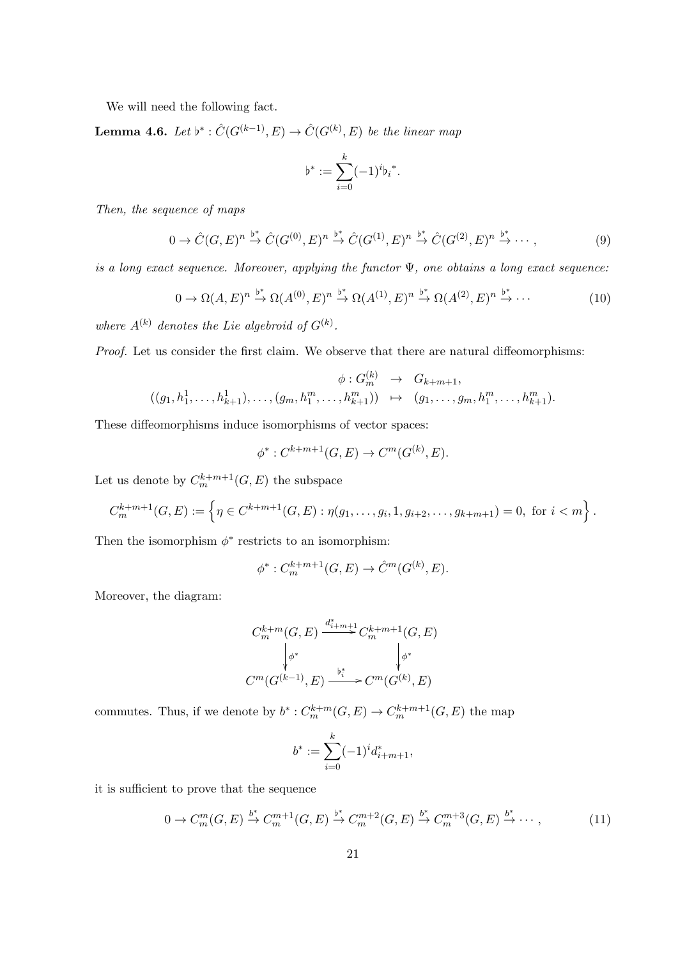We will need the following fact.

**Lemma 4.6.** Let  $b^* : \hat{C}(G^{(k-1)}, E) \to \hat{C}(G^{(k)}, E)$  be the linear map

$$
\flat^* := \sum_{i=0}^k (-1)^i {\flat_i}^*.
$$

Then, the sequence of maps

$$
0 \to \hat{C}(G,E)^n \stackrel{\flat^*}{\to} \hat{C}(G^{(0)},E)^n \stackrel{\flat^*}{\to} \hat{C}(G^{(1)},E)^n \stackrel{\flat^*}{\to} \hat{C}(G^{(2)},E)^n \stackrel{\flat^*}{\to} \cdots,
$$
\n
$$
(9)
$$

is a long exact sequence. Moreover, applying the functor  $\Psi$ , one obtains a long exact sequence:

$$
0 \to \Omega(A, E)^n \stackrel{\flat^*}{\to} \Omega(A^{(0)}, E)^n \stackrel{\flat^*}{\to} \Omega(A^{(1)}, E)^n \stackrel{\flat^*}{\to} \Omega(A^{(2)}, E)^n \stackrel{\flat^*}{\to} \cdots
$$
 (10)

where  $A^{(k)}$  denotes the Lie algebroid of  $G^{(k)}$ .

Proof. Let us consider the first claim. We observe that there are natural diffeomorphisms:

$$
\phi: G_m^{(k)} \to G_{k+m+1},
$$
  

$$
((g_1, h_1^1, \ldots, h_{k+1}^1), \ldots, (g_m, h_1^m, \ldots, h_{k+1}^m)) \mapsto (g_1, \ldots, g_m, h_1^m, \ldots, h_{k+1}^m).
$$

These diffeomorphisms induce isomorphisms of vector spaces:

$$
\phi^* : C^{k+m+1}(G, E) \to C^m(G^{(k)}, E).
$$

Let us denote by  $C_m^{k+m+1}(G, E)$  the subspace

$$
C_m^{k+m+1}(G,E) := \left\{ \eta \in C^{k+m+1}(G,E) : \eta(g_1,\ldots,g_i,1,g_{i+2},\ldots,g_{k+m+1}) = 0, \text{ for } i < m \right\}.
$$

Then the isomorphism  $\phi^*$  restricts to an isomorphism:

$$
\phi^*: C_m^{k+m+1}(G,E) \to \hat{C}^m(G^{(k)},E).
$$

Moreover, the diagram:

$$
C_m^{k+m}(G, E) \xrightarrow{d_{i+m+1}^*} C_m^{k+m+1}(G, E)
$$

$$
\downarrow_{\phi^*} \qquad \qquad \downarrow_{\phi^*}
$$

$$
C^m(G^{(k-1)}, E) \xrightarrow{b_i^*} C^m(G^{(k)}, E)
$$

commutes. Thus, if we denote by  $b^* : C_m^{k+m}(G, E) \to C_m^{k+m+1}(G, E)$  the map

$$
b^* := \sum_{i=0}^k (-1)^i d^*_{i+m+1},
$$

it is sufficient to prove that the sequence

$$
0 \to C_m^m(G, E) \stackrel{b^*}{\to} C_m^{m+1}(G, E) \stackrel{b^*}{\to} C_m^{m+2}(G, E) \stackrel{b^*}{\to} C_m^{m+3}(G, E) \stackrel{b^*}{\to} \cdots,
$$
\n(11)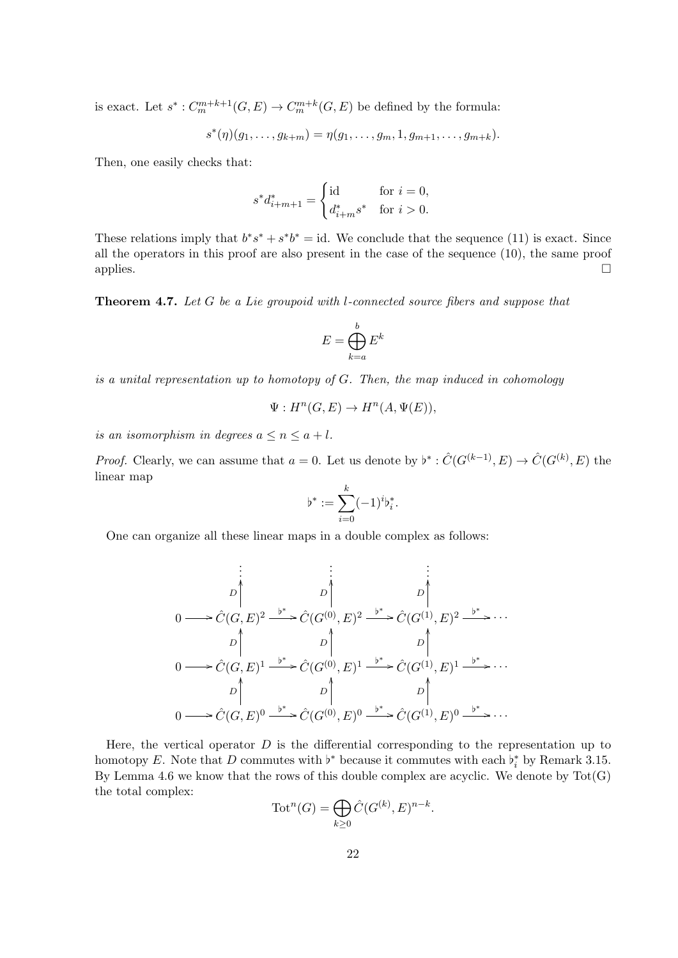is exact. Let  $s^*$ :  $C_m^{m+k+1}(G, E) \to C_m^{m+k}(G, E)$  be defined by the formula:

$$
s^*(\eta)(g_1,\ldots,g_{k+m})=\eta(g_1,\ldots,g_m,1,g_{m+1},\ldots,g_{m+k}).
$$

Then, one easily checks that:

$$
s^* d_{i+m+1}^* = \begin{cases} \text{id} & \text{for } i = 0, \\ d_{i+m}^* s^* & \text{for } i > 0. \end{cases}
$$

These relations imply that  $b^*s^* + s^*b^* = id$ . We conclude that the sequence (11) is exact. Since all the operators in this proof are also present in the case of the sequence (10), the same proof applies.  $\Box$ 

Theorem 4.7. Let G be a Lie groupoid with l-connected source fibers and suppose that

$$
E = \bigoplus_{k=a}^{b} E^k
$$

is a unital representation up to homotopy of G. Then, the map induced in cohomology

$$
\Psi: H^n(G, E) \to H^n(A, \Psi(E)),
$$

is an isomorphism in degrees  $a \leq n \leq a + l$ .

*Proof.* Clearly, we can assume that  $a = 0$ . Let us denote by  $\flat^* : \hat{C}(G^{(k-1)}, E) \to \hat{C}(G^{(k)}, E)$  the linear map

$$
\flat^* := \sum_{i=0}^k (-1)^i \flat_i^*.
$$

One can organize all these linear maps in a double complex as follows:

$$
\begin{array}{ccc}\n\vdots & \vdots & \vdots \\
D & D & D & D \\
0 & \longrightarrow \hat{C}(G, E)^2 \xrightarrow{b^*} \hat{C}(G^{(0)}, E)^2 \xrightarrow{b^*} \hat{C}(G^{(1)}, E)^2 \xrightarrow{b^*} \cdots \\
D & D & D & D \\
0 & \longrightarrow \hat{C}(G, E)^1 \xrightarrow{b^*} \hat{C}(G^{(0)}, E)^1 \xrightarrow{b^*} \hat{C}(G^{(1)}, E)^1 \xrightarrow{b^*} \cdots \\
D & D & D & D \\
0 & \longrightarrow \hat{C}(G, E)^0 \xrightarrow{b^*} \hat{C}(G^{(0)}, E)^0 \xrightarrow{b^*} \hat{C}(G^{(1)}, E)^0 \xrightarrow{b^*} \cdots\n\end{array}
$$

Here, the vertical operator  $D$  is the differential corresponding to the representation up to homotopy E. Note that D commutes with  $\flat^*$  because it commutes with each  $\flat_i^*$  by Remark 3.15. By Lemma 4.6 we know that the rows of this double complex are acyclic. We denote by  $Tot(G)$ the total complex:

$$
\operatorname{Tot}^n(G) = \bigoplus_{k \ge 0} \hat{C}(G^{(k)}, E)^{n-k}.
$$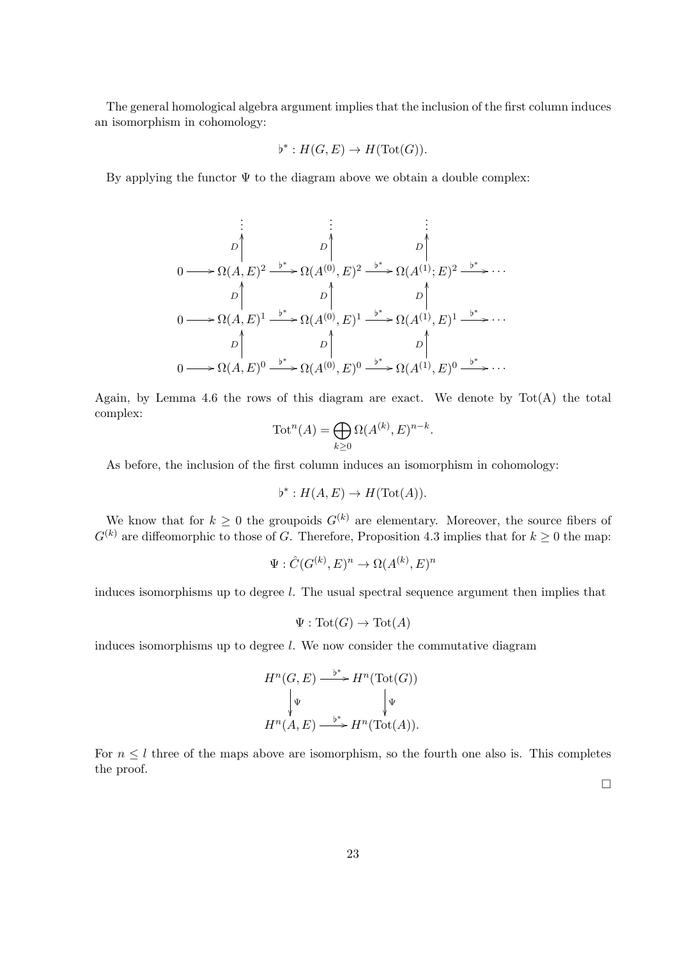The general homological algebra argument implies that the inclusion of the first column induces an isomorphism in cohomology:

$$
\flat^* : H(G, E) \to H(\text{Tot}(G)).
$$

By applying the functor  $\Psi$  to the diagram above we obtain a double complex:

$$
\begin{array}{ccc}\n\vdots & \vdots & \vdots \\
D & D & D \\
\hline\n0 & \longrightarrow \Omega(A, E)^2 \xrightarrow{b^*} \Omega(A^{(0)}, E)^2 \xrightarrow{b^*} \Omega(A^{(1)}; E)^2 \xrightarrow{b^*} \cdots \\
D & D & D & D \\
\downarrow & \downarrow & \downarrow & \downarrow \\
0 \longrightarrow \Omega(A, E)^1 \xrightarrow{b^*} \Omega(A^{(0)}, E)^1 \xrightarrow{b^*} \Omega(A^{(1)}, E)^1 \xrightarrow{b^*} \cdots \\
D & D & D & D \\
\downarrow & \downarrow & \downarrow & \downarrow \\
0 \longrightarrow \Omega(A, E)^0 \xrightarrow{b^*} \Omega(A^{(0)}, E)^0 \xrightarrow{b^*} \Omega(A^{(1)}, E)^0 \xrightarrow{b^*} \cdots\n\end{array}
$$

Again, by Lemma 4.6 the rows of this diagram are exact. We denote by  $Tot(A)$  the total complex:

$$
\operatorname{Tot}^n(A) = \bigoplus_{k \ge 0} \Omega(A^{(k)}, E)^{n-k}.
$$

As before, the inclusion of the first column induces an isomorphism in cohomology:

$$
\flat^* : H(A, E) \to H(\text{Tot}(A)).
$$

We know that for  $k \geq 0$  the groupoids  $G^{(k)}$  are elementary. Moreover, the source fibers of  $G^{(k)}$  are diffeomorphic to those of G. Therefore, Proposition 4.3 implies that for  $k \geq 0$  the map:

$$
\Psi : \hat{C}(G^{(k)}, E)^n \to \Omega(A^{(k)}, E)^n
$$

induces isomorphisms up to degree l. The usual spectral sequence argument then implies that

$$
\Psi : \operatorname{Tot}(G) \to \operatorname{Tot}(A)
$$

induces isomorphisms up to degree l. We now consider the commutative diagram

$$
H^n(G, E) \xrightarrow{\flat^*} H^n(\text{Tot}(G))
$$
  

$$
\downarrow^{\Psi} \qquad \qquad \downarrow^{\Psi}
$$
  

$$
H^n(A, E) \xrightarrow{\flat^*} H^n(\text{Tot}(A)).
$$

For  $n \leq l$  three of the maps above are isomorphism, so the fourth one also is. This completes the proof.

 $\Box$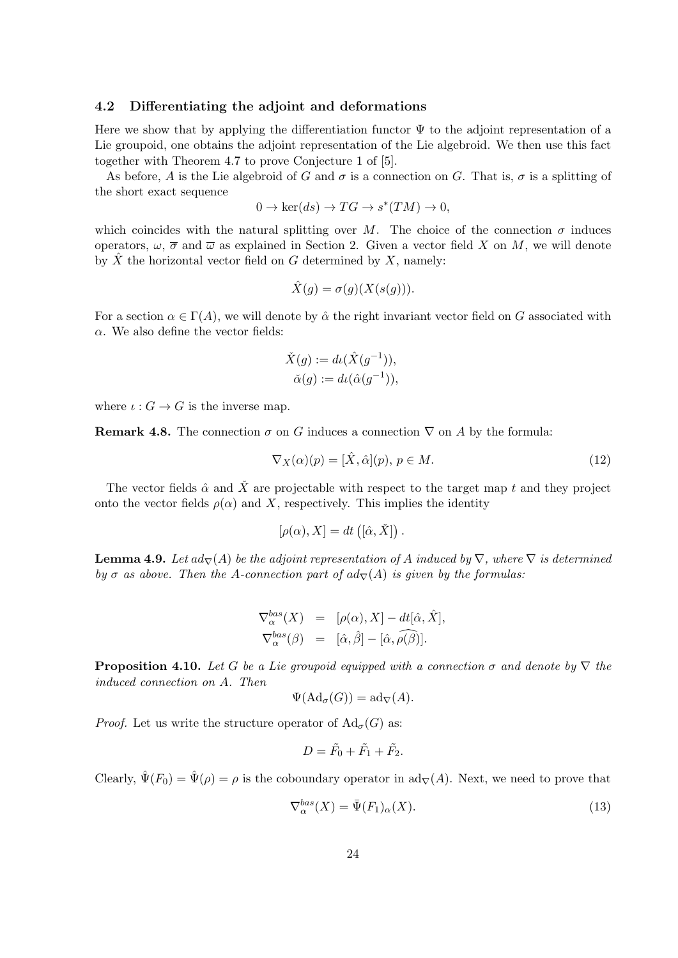#### 4.2 Differentiating the adjoint and deformations

Here we show that by applying the differentiation functor  $\Psi$  to the adjoint representation of a Lie groupoid, one obtains the adjoint representation of the Lie algebroid. We then use this fact together with Theorem 4.7 to prove Conjecture 1 of [5].

As before, A is the Lie algebroid of G and  $\sigma$  is a connection on G. That is,  $\sigma$  is a splitting of the short exact sequence

$$
0 \to \ker(ds) \to TG \to s^*(TM) \to 0,
$$

which coincides with the natural splitting over M. The choice of the connection  $\sigma$  induces operators,  $\omega$ ,  $\overline{\sigma}$  and  $\overline{\omega}$  as explained in Section 2. Given a vector field X on M, we will denote by  $\hat{X}$  the horizontal vector field on G determined by X, namely:

$$
\hat{X}(g) = \sigma(g)(X(s(g))).
$$

For a section  $\alpha \in \Gamma(A)$ , we will denote by  $\hat{\alpha}$  the right invariant vector field on G associated with  $\alpha$ . We also define the vector fields:

$$
\check{X}(g) := d\iota(\hat{X}(g^{-1})),
$$
  
\n
$$
\check{\alpha}(g) := d\iota(\hat{\alpha}(g^{-1})),
$$

where  $\iota: G \to G$  is the inverse map.

**Remark 4.8.** The connection  $\sigma$  on G induces a connection  $\nabla$  on A by the formula:

$$
\nabla_X(\alpha)(p) = [\hat{X}, \hat{\alpha}](p), \ p \in M. \tag{12}
$$

The vector fields  $\hat{\alpha}$  and  $\hat{X}$  are projectable with respect to the target map t and they project onto the vector fields  $\rho(\alpha)$  and X, respectively. This implies the identity

$$
[\rho(\alpha), X] = dt ([\hat{\alpha}, \check{X}]).
$$

**Lemma 4.9.** Let  $ad_{\nabla}(A)$  be the adjoint representation of A induced by  $\nabla$ , where  $\nabla$  is determined by  $\sigma$  as above. Then the A-connection part of  $ad_{\nabla}(A)$  is given by the formulas:

$$
\nabla_{\alpha}^{bas}(X) = [\rho(\alpha), X] - dt[\hat{\alpha}, \hat{X}],
$$
  
\n
$$
\nabla_{\alpha}^{bas}(\beta) = [\hat{\alpha}, \hat{\beta}] - [\hat{\alpha}, \hat{\rho}(\hat{\beta})].
$$

**Proposition 4.10.** Let G be a Lie groupoid equipped with a connection  $\sigma$  and denote by  $\nabla$  the induced connection on A. Then

$$
\Psi(\mathrm{Ad}_{\sigma}(G)) = \mathrm{ad}_{\nabla}(A).
$$

*Proof.* Let us write the structure operator of  $\text{Ad}_{\sigma}(G)$  as:

$$
D=\tilde{F}_0+\tilde{F}_1+\tilde{F}_2.
$$

Clearly,  $\hat{\Psi}(F_0) = \hat{\Psi}(\rho) = \rho$  is the coboundary operator in ad<sub>V</sub>(A). Next, we need to prove that

$$
\nabla_{\alpha}^{bas}(X) = \bar{\Psi}(F_1)_{\alpha}(X). \tag{13}
$$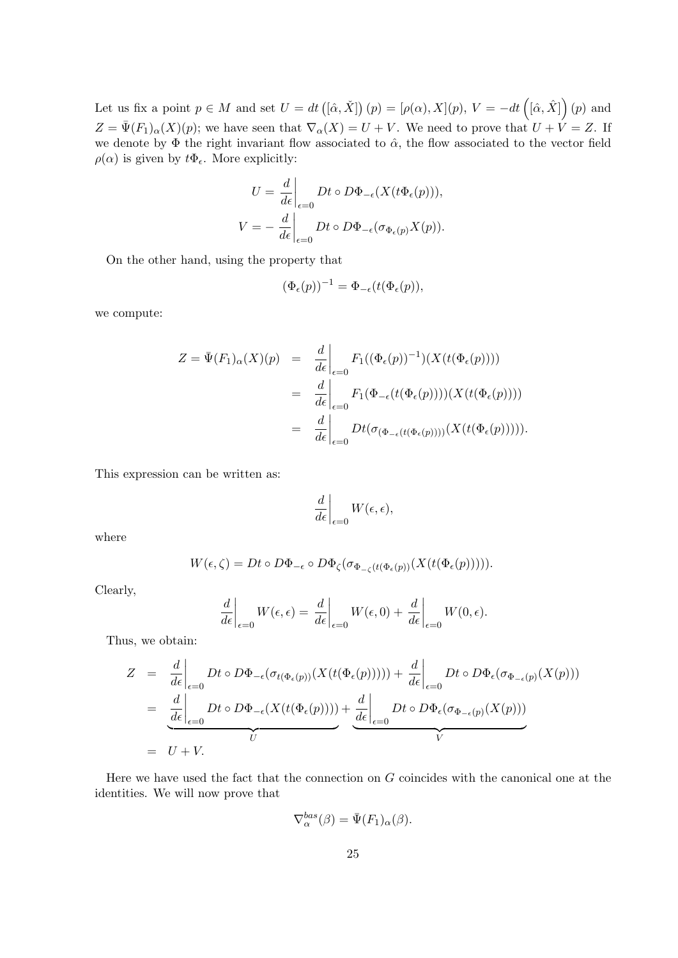Let us fix a point  $p \in M$  and set  $U = dt (\hat{a}, \check{X}] (p) = [\rho(\alpha), X](p), V = -dt (\hat{a}, \hat{X}] (p)$  and  $Z = \bar{\Psi}(F_1)_{\alpha}(X)(p)$ ; we have seen that  $\nabla_{\alpha}(X) = U + V$ . We need to prove that  $U + V = Z$ . If we denote by  $\Phi$  the right invariant flow associated to  $\hat{\alpha}$ , the flow associated to the vector field  $\rho(\alpha)$  is given by  $t\Phi_{\epsilon}$ . More explicitly:

$$
U = \frac{d}{d\epsilon}\Big|_{\epsilon=0} Dt \circ D\Phi_{-\epsilon}(X(t\Phi_{\epsilon}(p))),
$$
  

$$
V = -\frac{d}{d\epsilon}\Big|_{\epsilon=0} Dt \circ D\Phi_{-\epsilon}(\sigma_{\Phi_{\epsilon}(p)}X(p)).
$$

On the other hand, using the property that

$$
(\Phi_{\epsilon}(p))^{-1} = \Phi_{-\epsilon}(t(\Phi_{\epsilon}(p)),
$$

we compute:

$$
Z = \bar{\Psi}(F_1)_{\alpha}(X)(p) = \frac{d}{d\epsilon}\Big|_{\epsilon=0} F_1((\Phi_{\epsilon}(p))^{-1})(X(t(\Phi_{\epsilon}(p))))
$$
  

$$
= \frac{d}{d\epsilon}\Big|_{\epsilon=0} F_1(\Phi_{-\epsilon}(t(\Phi_{\epsilon}(p))))(X(t(\Phi_{\epsilon}(p))))
$$
  

$$
= \frac{d}{d\epsilon}\Big|_{\epsilon=0} Dt(\sigma_{(\Phi_{-\epsilon}(t(\Phi_{\epsilon}(p))))}(X(t(\Phi_{\epsilon}(p))))).
$$

This expression can be written as:

$$
\left. \frac{d}{d\epsilon} \right|_{\epsilon=0} W(\epsilon, \epsilon),
$$

where

$$
W(\epsilon,\zeta) = Dt \circ D\Phi_{-\epsilon} \circ D\Phi_{\zeta}(\sigma_{\Phi_{-\zeta}(t(\Phi_{\epsilon}(p))}(X(t(\Phi_{\epsilon}(p)))))).
$$

Clearly,

$$
\left. \frac{d}{d\epsilon} \right|_{\epsilon=0} W(\epsilon, \epsilon) = \left. \frac{d}{d\epsilon} \right|_{\epsilon=0} W(\epsilon, 0) + \left. \frac{d}{d\epsilon} \right|_{\epsilon=0} W(0, \epsilon).
$$

Thus, we obtain:

$$
Z = \frac{d}{d\epsilon}\Big|_{\epsilon=0} Dt \circ D\Phi_{-\epsilon}(\sigma_{t(\Phi_{\epsilon}(p))}(X(t(\Phi_{\epsilon}(p)))))+\frac{d}{d\epsilon}\Big|_{\epsilon=0} Dt \circ D\Phi_{\epsilon}(\sigma_{\Phi_{-\epsilon}(p)}(X(p)))
$$
  

$$
= \frac{d}{d\epsilon}\Big|_{\epsilon=0} Dt \circ D\Phi_{-\epsilon}(X(t(\Phi_{\epsilon}(p))))+\frac{d}{d\epsilon}\Big|_{\epsilon=0} Dt \circ D\Phi_{\epsilon}(\sigma_{\Phi_{-\epsilon}(p)}(X(p)))
$$
  

$$
= U + V.
$$

Here we have used the fact that the connection on  $G$  coincides with the canonical one at the identities. We will now prove that

$$
\nabla_{\alpha}^{bas}(\beta) = \bar{\Psi}(F_1)_{\alpha}(\beta).
$$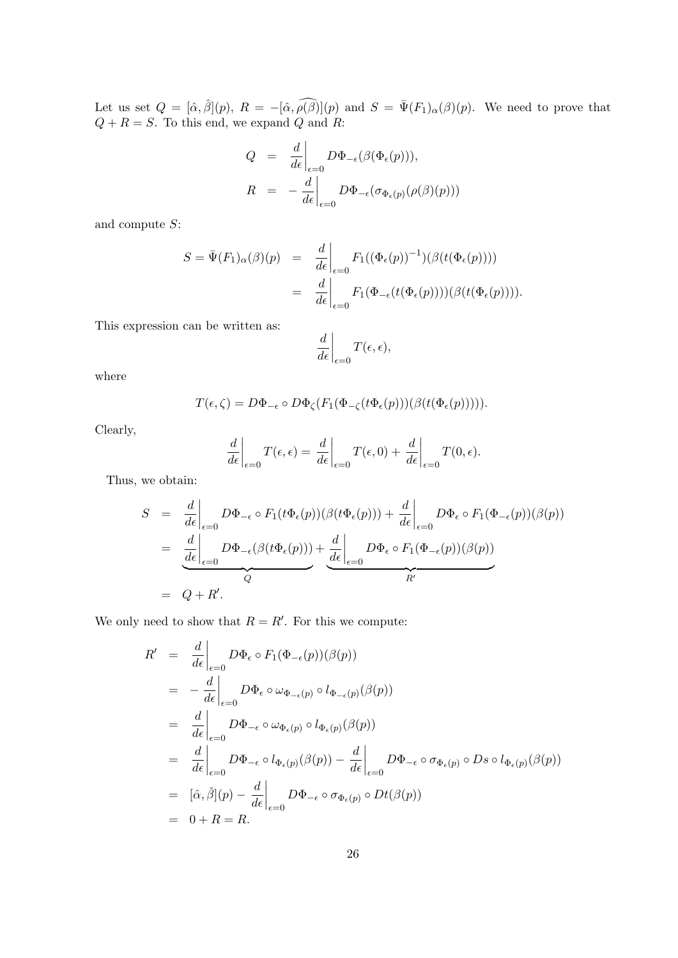Let us set  $Q = [\hat{\alpha}, \hat{\beta}](p)$ ,  $R = -[\hat{\alpha}, \hat{\rho}(\hat{\beta})](p)$  and  $S = \bar{\Psi}(F_1)_{\alpha}(\hat{\beta})(p)$ . We need to prove that  $Q + R = S$ . To this end, we expand Q and R:

$$
Q = \frac{d}{d\epsilon}\Big|_{\epsilon=0} D\Phi_{-\epsilon}(\beta(\Phi_{\epsilon}(p))),
$$
  

$$
R = -\frac{d}{d\epsilon}\Big|_{\epsilon=0} D\Phi_{-\epsilon}(\sigma_{\Phi_{\epsilon}(p)}(\rho(\beta)(p)))
$$

and compute S:

$$
S = \bar{\Psi}(F_1)_{\alpha}(\beta)(p) = \frac{d}{d\epsilon}\Big|_{\epsilon=0} F_1((\Phi_{\epsilon}(p))^{-1})(\beta(t(\Phi_{\epsilon}(p))))
$$
  

$$
= \frac{d}{d\epsilon}\Big|_{\epsilon=0} F_1(\Phi_{-\epsilon}(t(\Phi_{\epsilon}(p))))(\beta(t(\Phi_{\epsilon}(p))))
$$

This expression can be written as:

$$
\left. \frac{d}{d\epsilon} \right|_{\epsilon=0} T(\epsilon, \epsilon),
$$

where

$$
T(\epsilon,\zeta) = D\Phi_{-\epsilon} \circ D\Phi_{\zeta}(F_1(\Phi_{-\zeta}(t\Phi_{\epsilon}(p)))(\beta(t(\Phi_{\epsilon}(p))))).
$$

Clearly,

$$
\left. \frac{d}{d\epsilon} \right|_{\epsilon=0} T(\epsilon, \epsilon) = \left. \frac{d}{d\epsilon} \right|_{\epsilon=0} T(\epsilon, 0) + \left. \frac{d}{d\epsilon} \right|_{\epsilon=0} T(0, \epsilon).
$$

Thus, we obtain:

$$
S = \frac{d}{d\epsilon}\Big|_{\epsilon=0} D\Phi_{-\epsilon} \circ F_1(t\Phi_{\epsilon}(p))(\beta(t\Phi_{\epsilon}(p))) + \frac{d}{d\epsilon}\Big|_{\epsilon=0} D\Phi_{\epsilon} \circ F_1(\Phi_{-\epsilon}(p))(\beta(p))
$$
  

$$
= \frac{d}{d\epsilon}\Big|_{\epsilon=0} D\Phi_{-\epsilon}(\beta(t\Phi_{\epsilon}(p))) + \frac{d}{d\epsilon}\Big|_{\epsilon=0} D\Phi_{\epsilon} \circ F_1(\Phi_{-\epsilon}(p))(\beta(p))
$$
  

$$
= Q + R'.
$$

We only need to show that  $R = R'$ . For this we compute:

$$
R' = \frac{d}{d\epsilon}\Big|_{\epsilon=0} D\Phi_{\epsilon} \circ F_1(\Phi_{-\epsilon}(p))(\beta(p))
$$
  
\n
$$
= -\frac{d}{d\epsilon}\Big|_{\epsilon=0} D\Phi_{\epsilon} \circ \omega_{\Phi_{-\epsilon}(p)} \circ l_{\Phi_{-\epsilon}(p)}(\beta(p))
$$
  
\n
$$
= \frac{d}{d\epsilon}\Big|_{\epsilon=0} D\Phi_{-\epsilon} \circ \omega_{\Phi_{\epsilon}(p)} \circ l_{\Phi_{\epsilon}(p)}(\beta(p))
$$
  
\n
$$
= \frac{d}{d\epsilon}\Big|_{\epsilon=0} D\Phi_{-\epsilon} \circ l_{\Phi_{\epsilon}(p)}(\beta(p)) - \frac{d}{d\epsilon}\Big|_{\epsilon=0} D\Phi_{-\epsilon} \circ \sigma_{\Phi_{\epsilon}(p)} \circ Ds \circ l_{\Phi_{\epsilon}(p)}(\beta(p))
$$
  
\n
$$
= [\hat{\alpha}, \check{\beta}](p) - \frac{d}{d\epsilon}\Big|_{\epsilon=0} D\Phi_{-\epsilon} \circ \sigma_{\Phi_{\epsilon}(p)} \circ Dt(\beta(p))
$$
  
\n
$$
= 0 + R = R.
$$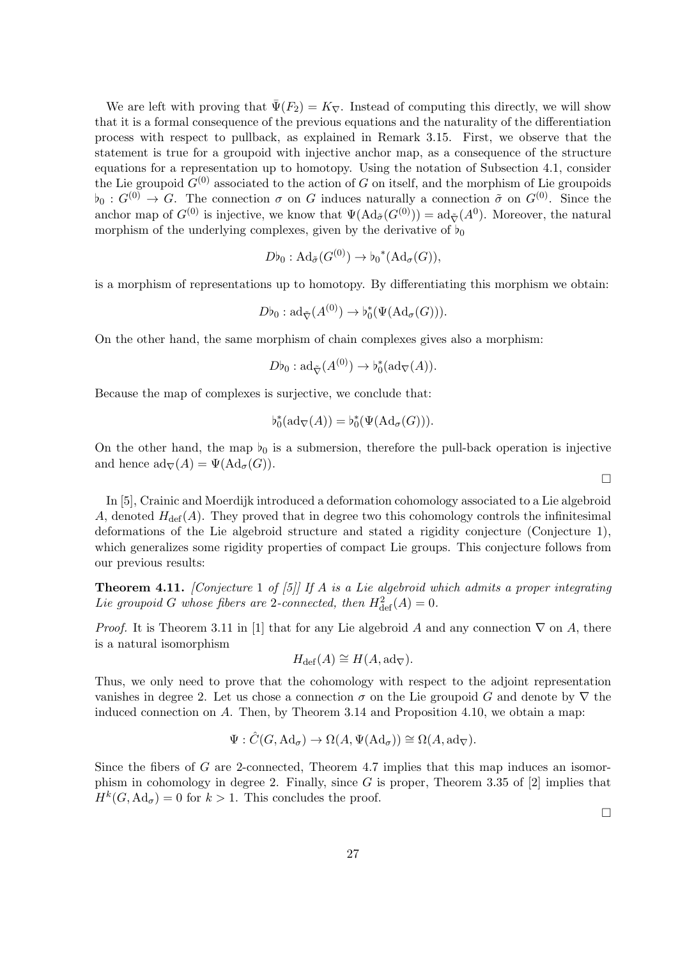We are left with proving that  $\bar{\Psi}(F_2) = K_{\nabla}$ . Instead of computing this directly, we will show that it is a formal consequence of the previous equations and the naturality of the differentiation process with respect to pullback, as explained in Remark 3.15. First, we observe that the statement is true for a groupoid with injective anchor map, as a consequence of the structure equations for a representation up to homotopy. Using the notation of Subsection 4.1, consider the Lie groupoid  $G^{(0)}$  associated to the action of G on itself, and the morphism of Lie groupoids  $\mathfrak{b}_0 : G^{(0)} \to G$ . The connection  $\sigma$  on G induces naturally a connection  $\tilde{\sigma}$  on  $G^{(0)}$ . Since the anchor map of  $G^{(0)}$  is injective, we know that  $\Psi(\text{Ad}_{\tilde{\sigma}}(G^{(0)})) = \text{ad}_{\tilde{\nabla}}(A^0)$ . Moreover, the natural morphism of the underlying complexes, given by the derivative of  $\flat_0$ 

$$
D\flat_0: \mathrm{Ad}_{\tilde{\sigma}}(G^{(0)}) \to \flat_0^*(\mathrm{Ad}_{\sigma}(G)),
$$

is a morphism of representations up to homotopy. By differentiating this morphism we obtain:

$$
D\flat_0: \mathrm{ad}_{\tilde{\nabla}}(A^{(0)}) \to \flat_0^*(\Psi(\mathrm{Ad}_{\sigma}(G))).
$$

On the other hand, the same morphism of chain complexes gives also a morphism:

$$
D\flat_0: \mathrm{ad}_{\tilde{\nabla}}(A^{(0)}) \to \flat_0^*(\mathrm{ad}_{\nabla}(A)).
$$

Because the map of complexes is surjective, we conclude that:

$$
\flat_0^*(\mathrm{ad}_{\nabla}(A)) = \flat_0^*(\Psi(\mathrm{Ad}_{\sigma}(G))).
$$

On the other hand, the map  $b_0$  is a submersion, therefore the pull-back operation is injective and hence  $\mathrm{ad}_{\nabla}(A) = \Psi(\mathrm{Ad}_{\sigma}(G)).$ 

In [5], Crainic and Moerdijk introduced a deformation cohomology associated to a Lie algebroid A, denoted  $H_{\text{def}}(A)$ . They proved that in degree two this cohomology controls the infinitesimal deformations of the Lie algebroid structure and stated a rigidity conjecture (Conjecture 1), which generalizes some rigidity properties of compact Lie groups. This conjecture follows from our previous results:

**Theorem 4.11.** [Conjecture 1 of [5]] If A is a Lie algebroid which admits a proper integrating Lie groupoid G whose fibers are 2-connected, then  $H^2_{\text{def}}(A) = 0$ .

*Proof.* It is Theorem 3.11 in [1] that for any Lie algebroid A and any connection  $\nabla$  on A, there is a natural isomorphism

$$
H_{\text{def}}(A) \cong H(A, \text{ad}_{\nabla}).
$$

Thus, we only need to prove that the cohomology with respect to the adjoint representation vanishes in degree 2. Let us chose a connection  $\sigma$  on the Lie groupoid G and denote by  $\nabla$  the induced connection on A. Then, by Theorem 3.14 and Proposition 4.10, we obtain a map:

$$
\Psi: \hat{C}(G, \mathrm{Ad}_{\sigma}) \to \Omega(A, \Psi(\mathrm{Ad}_{\sigma})) \cong \Omega(A, \mathrm{ad}_{\nabla}).
$$

Since the fibers of  $G$  are 2-connected, Theorem 4.7 implies that this map induces an isomorphism in cohomology in degree 2. Finally, since G is proper, Theorem 3.35 of  $[2]$  implies that  $H^k(G, \mathrm{Ad}_{\sigma}) = 0$  for  $k > 1$ . This concludes the proof.

 $\Box$ 

 $\Box$